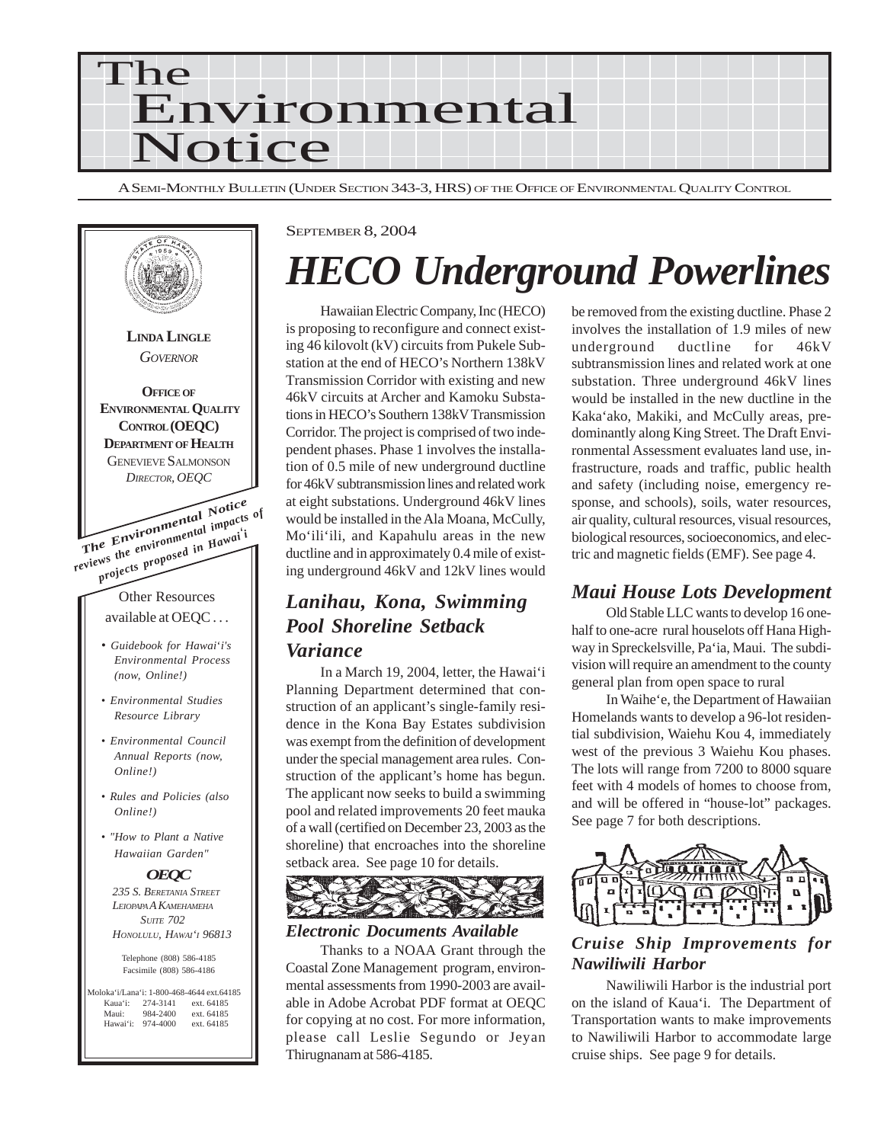

A SEMI-MONTHLY BULLETIN (UNDER SECTION 343-3, HRS) OF THE OFFICE OF ENVIRONMENTAL QUALITY CONTROL



#### SEPTEMBER 8, 2004

# *HECO Underground Powerlines*

Hawaiian Electric Company, Inc (HECO) is proposing to reconfigure and connect existing 46 kilovolt (kV) circuits from Pukele Substation at the end of HECO's Northern 138kV Transmission Corridor with existing and new 46kV circuits at Archer and Kamoku Substations in HECO's Southern 138kV Transmission Corridor. The project is comprised of two independent phases. Phase 1 involves the installation of 0.5 mile of new underground ductline for 46kV subtransmission lines and related work at eight substations. Underground 46kV lines would be installed in the Ala Moana, McCully, Mo'ili'ili, and Kapahulu areas in the new ductline and in approximately 0.4 mile of existing underground 46kV and 12kV lines would

# *Lanihau, Kona, Swimming Pool Shoreline Setback Variance*

In a March 19, 2004, letter, the Hawai'i Planning Department determined that construction of an applicant's single-family residence in the Kona Bay Estates subdivision was exempt from the definition of development under the special management area rules. Construction of the applicant's home has begun. The applicant now seeks to build a swimming pool and related improvements 20 feet mauka of a wall (certified on December 23, 2003 as the shoreline) that encroaches into the shoreline setback area. See page 10 for details.



#### *Electronic Documents Available*

Thanks to a NOAA Grant through the Coastal Zone Management program, environmental assessments from 1990-2003 are available in Adobe Acrobat PDF format at OEQC for copying at no cost. For more information, please call Leslie Segundo or Jeyan Thirugnanam at 586-4185.

be removed from the existing ductline. Phase 2 involves the installation of 1.9 miles of new underground ductline for 46kV subtransmission lines and related work at one substation. Three underground 46kV lines would be installed in the new ductline in the Kaka'ako, Makiki, and McCully areas, predominantly along King Street. The Draft Environmental Assessment evaluates land use, infrastructure, roads and traffic, public health and safety (including noise, emergency response, and schools), soils, water resources, air quality, cultural resources, visual resources, biological resources, socioeconomics, and electric and magnetic fields (EMF). See page 4.

### *Maui House Lots Development*

Old Stable LLC wants to develop 16 onehalf to one-acre rural houselots off Hana Highway in Spreckelsville, Pa'ia, Maui. The subdivision will require an amendment to the county general plan from open space to rural

In Waihe'e, the Department of Hawaiian Homelands wants to develop a 96-lot residential subdivision, Waiehu Kou 4, immediately west of the previous 3 Waiehu Kou phases. The lots will range from 7200 to 8000 square feet with 4 models of homes to choose from, and will be offered in "house-lot" packages. See page 7 for both descriptions.



### *Cruise Ship Improvements for Nawiliwili Harbor*

Nawiliwili Harbor is the industrial port on the island of Kaua'i. The Department of Transportation wants to make improvements to Nawiliwili Harbor to accommodate large cruise ships. See page 9 for details.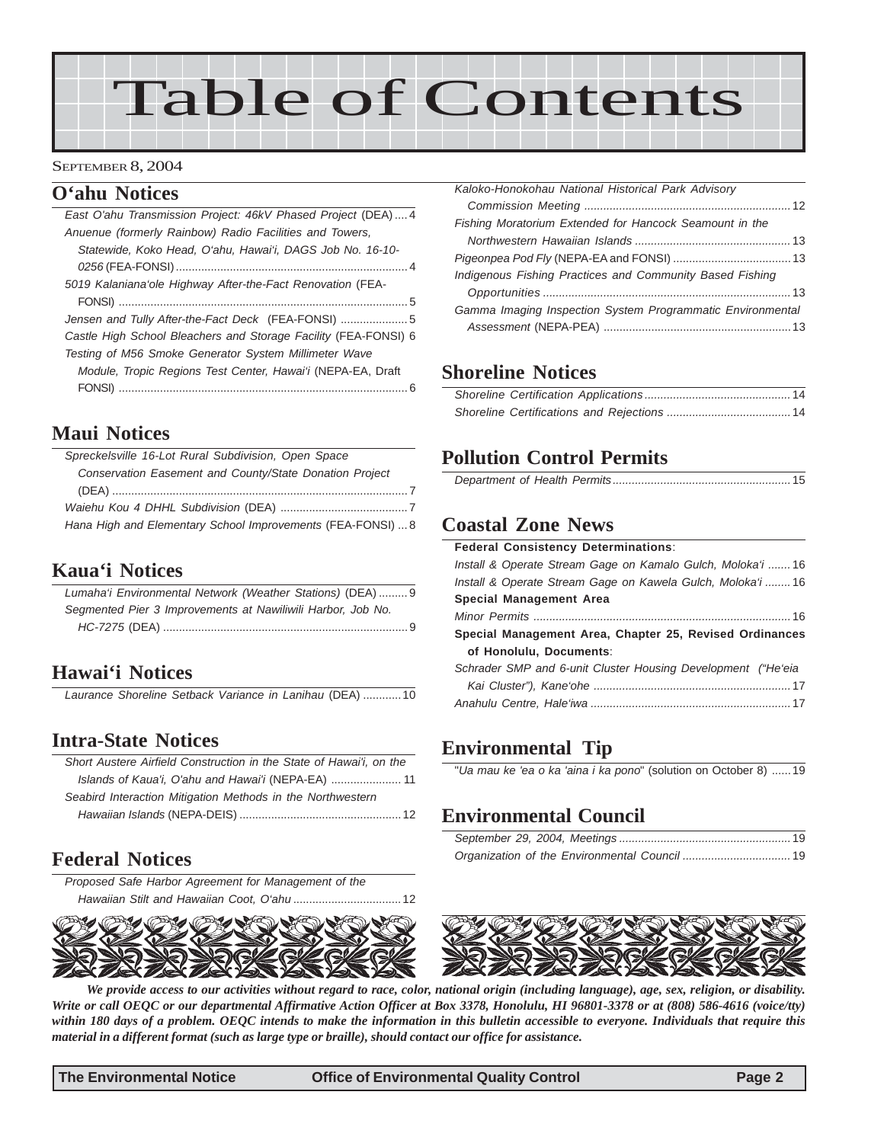# Table of Contents

#### SEPTEMBER 8, 2004

### **O'ahu Notices**

| East O'ahu Transmission Project: 46kV Phased Project (DEA)4     |
|-----------------------------------------------------------------|
| Anuenue (formerly Rainbow) Radio Facilities and Towers,         |
| Statewide, Koko Head, O'ahu, Hawai'i, DAGS Job No. 16-10-       |
|                                                                 |
| 5019 Kalaniana'ole Highway After-the-Fact Renovation (FEA-      |
|                                                                 |
| Jensen and Tully After-the-Fact Deck (FEA-FONSI)  5             |
| Castle High School Bleachers and Storage Facility (FEA-FONSI) 6 |
| Testing of M56 Smoke Generator System Millimeter Wave           |
| Module, Tropic Regions Test Center, Hawai'i (NEPA-EA, Draft     |
|                                                                 |

### **Maui Notices**

| Spreckelsville 16-Lot Rural Subdivision, Open Space         |
|-------------------------------------------------------------|
| Conservation Easement and County/State Donation Project     |
|                                                             |
|                                                             |
| Hana High and Elementary School Improvements (FEA-FONSI)  8 |

### **Kaua'i Notices**

| Lumaha'i Environmental Network (Weather Stations) (DEA) 9   |  |
|-------------------------------------------------------------|--|
| Segmented Pier 3 Improvements at Nawiliwili Harbor, Job No. |  |
|                                                             |  |

# **Hawai'i Notices**

*Laurance Shoreline Setback Variance in Lanihau* (DEA) ............10

### **Intra-State Notices**

| Short Austere Airfield Construction in the State of Hawai'i, on the |
|---------------------------------------------------------------------|
| Islands of Kaua'i, O'ahu and Hawai'i (NEPA-EA)  11                  |
| Seabird Interaction Mitigation Methods in the Northwestern          |
|                                                                     |

# **Federal Notices**

*[Proposed Safe Harbor Agreement for Management of the](#page-11-0) [Hawaiian Stilt and Hawaiian Coot, O'ahu](#page-11-0)* ..................................12



| Kaloko-Honokohau National Historical Park Advisory         |
|------------------------------------------------------------|
|                                                            |
| Fishing Moratorium Extended for Hancock Seamount in the    |
|                                                            |
|                                                            |
| Indigenous Fishing Practices and Community Based Fishing   |
|                                                            |
| Gamma Imaging Inspection System Programmatic Environmental |
|                                                            |

# **Shoreline Notices**

# **Pollution Control Permits**

# **Coastal Zone News**

| <b>Federal Consistency Determinations:</b>                   |
|--------------------------------------------------------------|
| Install & Operate Stream Gage on Kamalo Gulch, Moloka'i 16   |
| Install & Operate Stream Gage on Kawela Gulch, Moloka'i 16   |
| Special Management Area                                      |
|                                                              |
| Special Management Area, Chapter 25, Revised Ordinances      |
| of Honolulu, Documents:                                      |
| Schrader SMP and 6-unit Cluster Housing Development ("He'eia |
|                                                              |
|                                                              |
|                                                              |

# **Environmental Tip**

"*Ua mau ke 'ea o ka 'aina i ka pono*" (solution on October 8) ......19

# **Environmental Council**



*We provide access to our activities without regard to race, color, national origin (including language), age, sex, religion, or disability. Write or call OEQC or our departmental Affirmative Action Officer at Box 3378, Honolulu, HI 96801-3378 or at (808) 586-4616 (voice/tty) within 180 days of a problem. OEQC intends to make the information in this bulletin accessible to everyone. Individuals that require this material in a different format (such as large type or braille), should contact our office for assistance.*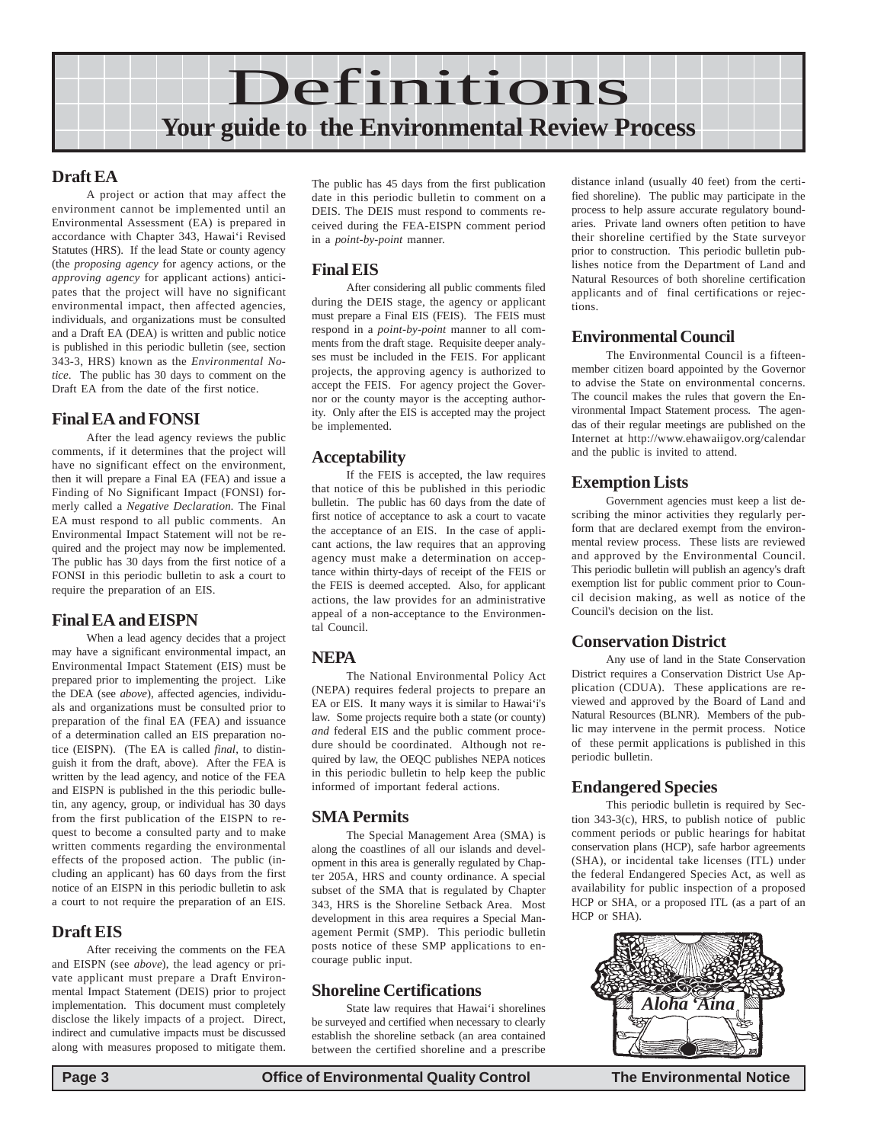

### **Draft EA**

A project or action that may affect the environment cannot be implemented until an Environmental Assessment (EA) is prepared in accordance with Chapter 343, Hawai'i Revised Statutes (HRS). If the lead State or county agency (the *proposing agency* for agency actions, or the *approving agency* for applicant actions) anticipates that the project will have no significant environmental impact, then affected agencies, individuals, and organizations must be consulted and a Draft EA (DEA) is written and public notice is published in this periodic bulletin (see, section 343-3, HRS) known as the *Environmental Notice*. The public has 30 days to comment on the Draft EA from the date of the first notice.

### **Final EA and FONSI**

After the lead agency reviews the public comments, if it determines that the project will have no significant effect on the environment, then it will prepare a Final EA (FEA) and issue a Finding of No Significant Impact (FONSI) formerly called a *Negative Declaration.* The Final EA must respond to all public comments. An Environmental Impact Statement will not be required and the project may now be implemented. The public has 30 days from the first notice of a FONSI in this periodic bulletin to ask a court to require the preparation of an EIS.

### **Final EA and EISPN**

When a lead agency decides that a project may have a significant environmental impact, an Environmental Impact Statement (EIS) must be prepared prior to implementing the project. Like the DEA (see *above*), affected agencies, individuals and organizations must be consulted prior to preparation of the final EA (FEA) and issuance of a determination called an EIS preparation notice (EISPN). (The EA is called *final*, to distinguish it from the draft, above). After the FEA is written by the lead agency, and notice of the FEA and EISPN is published in the this periodic bulletin, any agency, group, or individual has 30 days from the first publication of the EISPN to request to become a consulted party and to make written comments regarding the environmental effects of the proposed action. The public (including an applicant) has 60 days from the first notice of an EISPN in this periodic bulletin to ask a court to not require the preparation of an EIS.

### **Draft EIS**

After receiving the comments on the FEA and EISPN (see *above*), the lead agency or private applicant must prepare a Draft Environmental Impact Statement (DEIS) prior to project implementation. This document must completely disclose the likely impacts of a project. Direct, indirect and cumulative impacts must be discussed along with measures proposed to mitigate them.

The public has 45 days from the first publication date in this periodic bulletin to comment on a DEIS. The DEIS must respond to comments received during the FEA-EISPN comment period in a *point-by-point* manner.

### **Final EIS**

After considering all public comments filed during the DEIS stage, the agency or applicant must prepare a Final EIS (FEIS). The FEIS must respond in a *point-by-point* manner to all comments from the draft stage. Requisite deeper analyses must be included in the FEIS. For applicant projects, the approving agency is authorized to accept the FEIS. For agency project the Governor or the county mayor is the accepting authority. Only after the EIS is accepted may the project be implemented.

### **Acceptability**

If the FEIS is accepted, the law requires that notice of this be published in this periodic bulletin. The public has 60 days from the date of first notice of acceptance to ask a court to vacate the acceptance of an EIS. In the case of applicant actions, the law requires that an approving agency must make a determination on acceptance within thirty-days of receipt of the FEIS or the FEIS is deemed accepted. Also, for applicant actions, the law provides for an administrative appeal of a non-acceptance to the Environmental Council.

### **NEPA**

The National Environmental Policy Act (NEPA) requires federal projects to prepare an EA or EIS. It many ways it is similar to Hawai'i's law. Some projects require both a state (or county) *and* federal EIS and the public comment procedure should be coordinated. Although not required by law, the OEQC publishes NEPA notices in this periodic bulletin to help keep the public informed of important federal actions.

### **SMA Permits**

The Special Management Area (SMA) is along the coastlines of all our islands and development in this area is generally regulated by Chapter 205A, HRS and county ordinance. A special subset of the SMA that is regulated by Chapter 343, HRS is the Shoreline Setback Area. Most development in this area requires a Special Management Permit (SMP). This periodic bulletin posts notice of these SMP applications to encourage public input.

### **Shoreline Certifications**

State law requires that Hawai'i shorelines be surveyed and certified when necessary to clearly establish the shoreline setback (an area contained between the certified shoreline and a prescribe distance inland (usually 40 feet) from the certified shoreline). The public may participate in the process to help assure accurate regulatory boundaries. Private land owners often petition to have their shoreline certified by the State surveyor prior to construction. This periodic bulletin publishes notice from the Department of Land and Natural Resources of both shoreline certification applicants and of final certifications or rejections.

### **Environmental Council**

The Environmental Council is a fifteenmember citizen board appointed by the Governor to advise the State on environmental concerns. The council makes the rules that govern the Environmental Impact Statement process. The agendas of their regular meetings are published on the Internet at http://www.ehawaiigov.org/calendar and the public is invited to attend.

### **Exemption Lists**

Government agencies must keep a list describing the minor activities they regularly perform that are declared exempt from the environmental review process. These lists are reviewed and approved by the Environmental Council. This periodic bulletin will publish an agency's draft exemption list for public comment prior to Council decision making, as well as notice of the Council's decision on the list.

### **Conservation District**

Any use of land in the State Conservation District requires a Conservation District Use Application (CDUA). These applications are reviewed and approved by the Board of Land and Natural Resources (BLNR). Members of the public may intervene in the permit process. Notice of these permit applications is published in this periodic bulletin.

### **Endangered Species**

This periodic bulletin is required by Section 343-3(c), HRS, to publish notice of public comment periods or public hearings for habitat conservation plans (HCP), safe harbor agreements (SHA), or incidental take licenses (ITL) under the federal Endangered Species Act, as well as availability for public inspection of a proposed HCP or SHA, or a proposed ITL (as a part of an HCP or SHA).

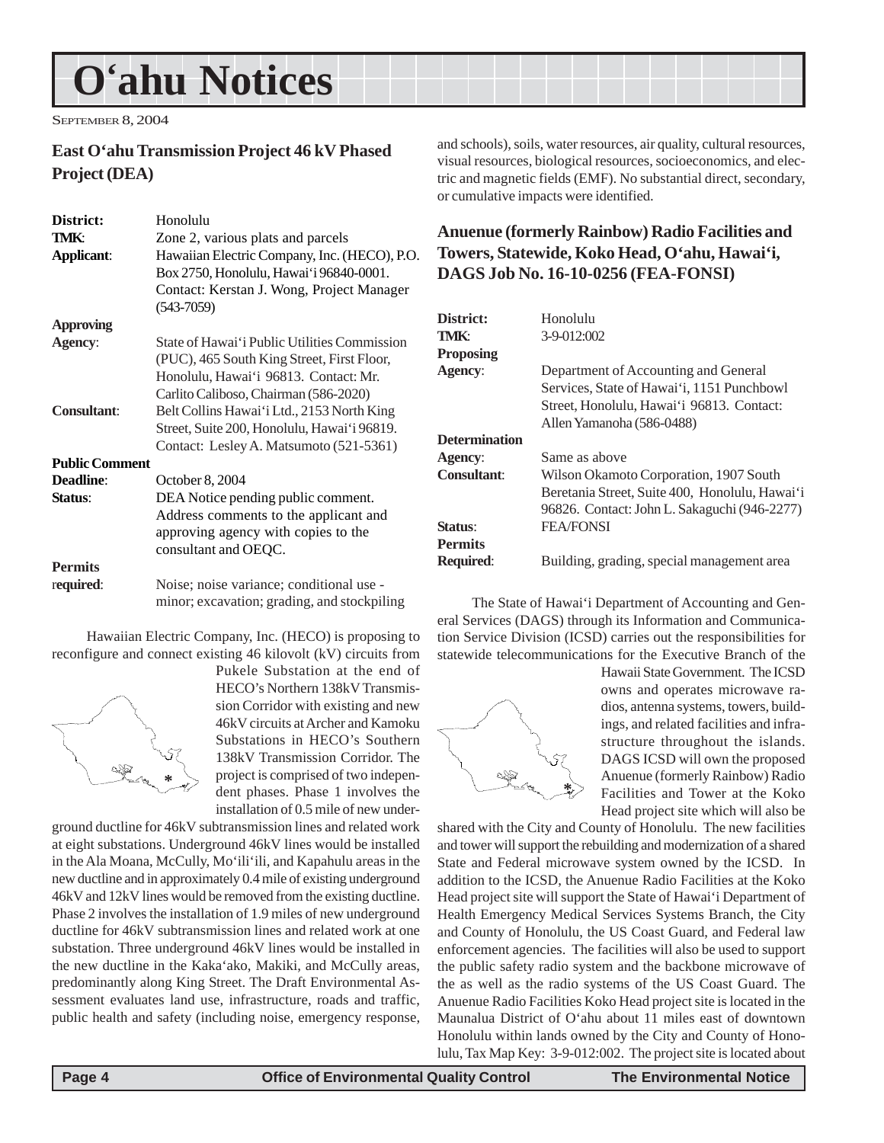# <span id="page-3-0"></span>**O'ahu Notices**

SEPTEMBER 8, 2004

### **East O'ahu Transmission Project 46 kV Phased Project (DEA)**

| District:             | Honolulu                                     |
|-----------------------|----------------------------------------------|
| TMK:                  | Zone 2, various plats and parcels            |
| <b>Applicant:</b>     | Hawaiian Electric Company, Inc. (HECO), P.O. |
|                       | Box 2750, Honolulu, Hawai'i 96840-0001.      |
|                       | Contact: Kerstan J. Wong, Project Manager    |
|                       | $(543 - 7059)$                               |
| <b>Approving</b>      |                                              |
| <b>Agency:</b>        | State of Hawai'i Public Utilities Commission |
|                       | (PUC), 465 South King Street, First Floor,   |
|                       | Honolulu, Hawai'i 96813. Contact: Mr.        |
|                       | Carlito Caliboso, Chairman (586-2020)        |
| <b>Consultant:</b>    | Belt Collins Hawai'i Ltd., 2153 North King   |
|                       | Street, Suite 200, Honolulu, Hawai'i 96819.  |
|                       | Contact: Lesley A. Matsumoto (521-5361)      |
| <b>Public Comment</b> |                                              |
| Deadline:             | October 8, 2004                              |
| Status:               | DEA Notice pending public comment.           |
|                       | Address comments to the applicant and        |
|                       | approving agency with copies to the          |
|                       | consultant and OEQC.                         |
| <b>Permits</b>        |                                              |
| required:             | Noise; noise variance; conditional use -     |
|                       | minor; excavation; grading, and stockpiling  |

Hawaiian Electric Company, Inc. (HECO) is proposing to reconfigure and connect existing 46 kilovolt (kV) circuits from



Pukele Substation at the end of HECO's Northern 138kV Transmission Corridor with existing and new 46kV circuits at Archer and Kamoku Substations in HECO's Southern 138kV Transmission Corridor. The project is comprised of two independent phases. Phase 1 involves the installation of 0.5 mile of new under-

ground ductline for 46kV subtransmission lines and related work at eight substations. Underground 46kV lines would be installed in the Ala Moana, McCully, Mo'ili'ili, and Kapahulu areas in the new ductline and in approximately 0.4 mile of existing underground 46kV and 12kV lines would be removed from the existing ductline. Phase 2 involves the installation of 1.9 miles of new underground ductline for 46kV subtransmission lines and related work at one substation. Three underground 46kV lines would be installed in the new ductline in the Kaka'ako, Makiki, and McCully areas, predominantly along King Street. The Draft Environmental Assessment evaluates land use, infrastructure, roads and traffic, public health and safety (including noise, emergency response,

and schools), soils, water resources, air quality, cultural resources, visual resources, biological resources, socioeconomics, and electric and magnetic fields (EMF). No substantial direct, secondary, or cumulative impacts were identified.

### **Anuenue (formerly Rainbow) Radio Facilities and Towers, Statewide, Koko Head, O'ahu, Hawai'i, DAGS Job No. 16-10-0256 (FEA-FONSI)**

| District:            | Honolulu                                                                                                                                                     |
|----------------------|--------------------------------------------------------------------------------------------------------------------------------------------------------------|
| TMK:                 | $3-9-012:002$                                                                                                                                                |
| <b>Proposing</b>     |                                                                                                                                                              |
| Agency:              | Department of Accounting and General<br>Services, State of Hawai'i, 1151 Punchbowl<br>Street, Honolulu, Hawai'i 96813. Contact:<br>Allen Yamanoha (586-0488) |
| <b>Determination</b> |                                                                                                                                                              |
| Agency:              | Same as above                                                                                                                                                |
| Consultant:          | Wilson Okamoto Corporation, 1907 South<br>Beretania Street, Suite 400, Honolulu, Hawai'i<br>96826. Contact: John L. Sakaguchi (946-2277)                     |
| Status:              | <b>FEA/FONSI</b>                                                                                                                                             |
| <b>Permits</b>       |                                                                                                                                                              |
| <b>Required:</b>     | Building, grading, special management area                                                                                                                   |

The State of Hawai'i Department of Accounting and General Services (DAGS) through its Information and Communication Service Division (ICSD) carries out the responsibilities for statewide telecommunications for the Executive Branch of the



Hawaii State Government. The ICSD owns and operates microwave radios, antenna systems, towers, buildings, and related facilities and infrastructure throughout the islands. DAGS ICSD will own the proposed Anuenue (formerly Rainbow) Radio Facilities and Tower at the Koko Head project site which will also be

shared with the City and County of Honolulu. The new facilities and tower will support the rebuilding and modernization of a shared State and Federal microwave system owned by the ICSD. In addition to the ICSD, the Anuenue Radio Facilities at the Koko Head project site will support the State of Hawai'i Department of Health Emergency Medical Services Systems Branch, the City and County of Honolulu, the US Coast Guard, and Federal law enforcement agencies. The facilities will also be used to support the public safety radio system and the backbone microwave of the as well as the radio systems of the US Coast Guard. The Anuenue Radio Facilities Koko Head project site is located in the Maunalua District of O'ahu about 11 miles east of downtown Honolulu within lands owned by the City and County of Honolulu, Tax Map Key: 3-9-012:002. The project site is located about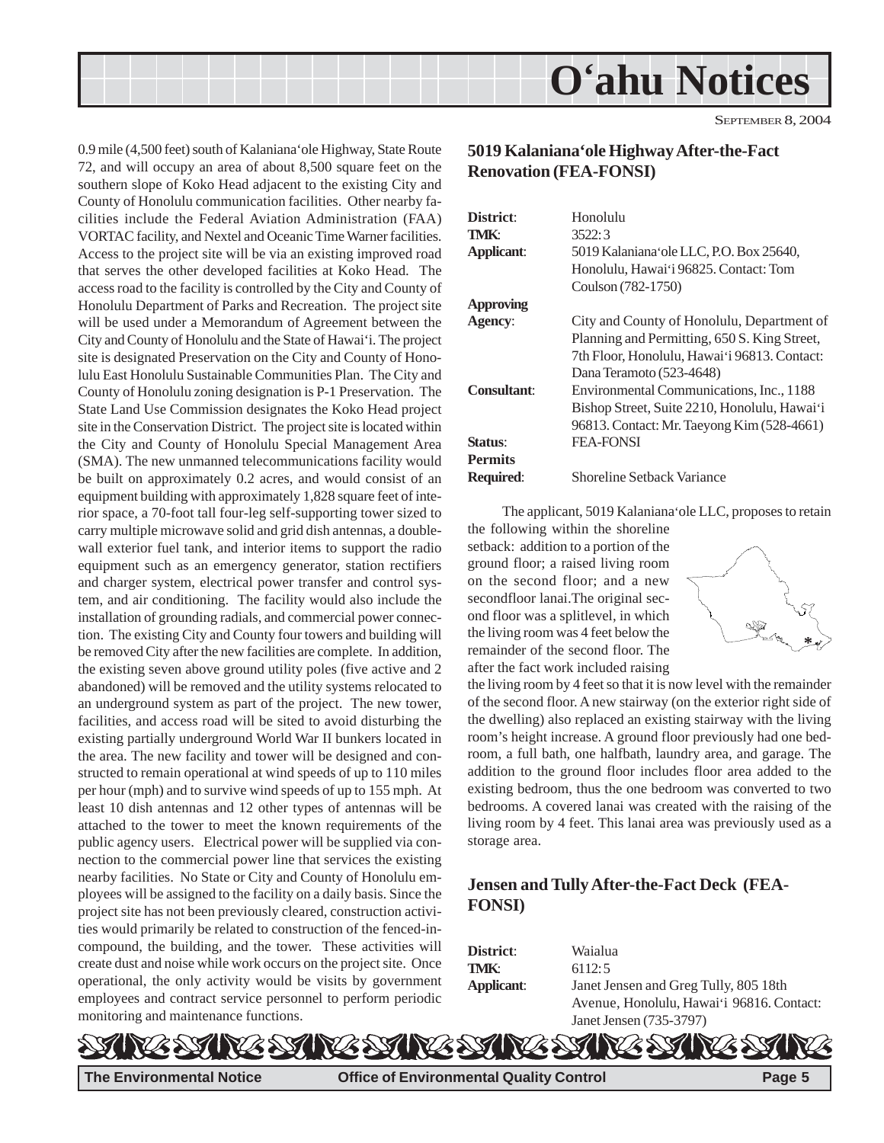<span id="page-4-0"></span>

0.9 mile (4,500 feet) south of Kalaniana'ole Highway, State Route 72, and will occupy an area of about 8,500 square feet on the southern slope of Koko Head adjacent to the existing City and County of Honolulu communication facilities. Other nearby facilities include the Federal Aviation Administration (FAA) VORTAC facility, and Nextel and Oceanic Time Warner facilities. Access to the project site will be via an existing improved road that serves the other developed facilities at Koko Head. The access road to the facility is controlled by the City and County of Honolulu Department of Parks and Recreation. The project site will be used under a Memorandum of Agreement between the City and County of Honolulu and the State of Hawai'i. The project site is designated Preservation on the City and County of Honolulu East Honolulu Sustainable Communities Plan. The City and County of Honolulu zoning designation is P-1 Preservation. The State Land Use Commission designates the Koko Head project site in the Conservation District. The project site is located within the City and County of Honolulu Special Management Area (SMA). The new unmanned telecommunications facility would be built on approximately 0.2 acres, and would consist of an equipment building with approximately 1,828 square feet of interior space, a 70-foot tall four-leg self-supporting tower sized to carry multiple microwave solid and grid dish antennas, a doublewall exterior fuel tank, and interior items to support the radio equipment such as an emergency generator, station rectifiers and charger system, electrical power transfer and control system, and air conditioning. The facility would also include the installation of grounding radials, and commercial power connection. The existing City and County four towers and building will be removed City after the new facilities are complete. In addition, the existing seven above ground utility poles (five active and 2 abandoned) will be removed and the utility systems relocated to an underground system as part of the project. The new tower, facilities, and access road will be sited to avoid disturbing the existing partially underground World War II bunkers located in the area. The new facility and tower will be designed and constructed to remain operational at wind speeds of up to 110 miles per hour (mph) and to survive wind speeds of up to 155 mph. At least 10 dish antennas and 12 other types of antennas will be attached to the tower to meet the known requirements of the public agency users. Electrical power will be supplied via connection to the commercial power line that services the existing nearby facilities. No State or City and County of Honolulu employees will be assigned to the facility on a daily basis. Since the project site has not been previously cleared, construction activities would primarily be related to construction of the fenced-incompound, the building, and the tower. These activities will create dust and noise while work occurs on the project site. Once operational, the only activity would be visits by government employees and contract service personnel to perform periodic monitoring and maintenance functions.

### **5019 Kalaniana'ole Highway After-the-Fact Renovation (FEA-FONSI)**

| District <sup>.</sup> | Honolulu                                     |
|-----------------------|----------------------------------------------|
| TMK:                  | 3522:3                                       |
| <b>Applicant:</b>     | 5019 Kalaniana ole LLC, P.O. Box 25640,      |
|                       | Honolulu, Hawai'i 96825. Contact: Tom        |
|                       | Coulson (782-1750)                           |
| <b>Approving</b>      |                                              |
| <b>Agency:</b>        | City and County of Honolulu, Department of   |
|                       | Planning and Permitting, 650 S. King Street, |
|                       | 7th Floor, Honolulu, Hawai'i 96813. Contact: |
|                       | Dana Teramoto (523-4648)                     |
| Consultant:           | Environmental Communications, Inc., 1188     |
|                       | Bishop Street, Suite 2210, Honolulu, Hawai'i |
|                       | 96813. Contact: Mr. Taeyong Kim (528-4661)   |
| Status:               | <b>FEA-FONSI</b>                             |
| <b>Permits</b>        |                                              |
| Required:             | Shoreline Setback Variance                   |
|                       |                                              |

The applicant, 5019 Kalaniana'ole LLC, proposes to retain

the following within the shoreline setback: addition to a portion of the ground floor; a raised living room on the second floor; and a new secondfloor lanai.The original second floor was a splitlevel, in which the living room was 4 feet below the remainder of the second floor. The after the fact work included raising



the living room by 4 feet so that it is now level with the remainder of the second floor. A new stairway (on the exterior right side of the dwelling) also replaced an existing stairway with the living room's height increase. A ground floor previously had one bedroom, a full bath, one halfbath, laundry area, and garage. The addition to the ground floor includes floor area added to the existing bedroom, thus the one bedroom was converted to two bedrooms. A covered lanai was created with the raising of the living room by 4 feet. This lanai area was previously used as a storage area.

### **Jensen and Tully After-the-Fact Deck (FEA-FONSI)**

| <b>District:</b> | Waialua                                   |
|------------------|-------------------------------------------|
| TMK:             | 6112:5                                    |
| Applicant:       | Janet Jensen and Greg Tully, 805 18th     |
|                  | Avenue, Honolulu, Hawai'i 96816. Contact: |
|                  | Janet Jensen (735-3797)                   |



**The Environmental Notice Office of Environmental Quality Control Page 5**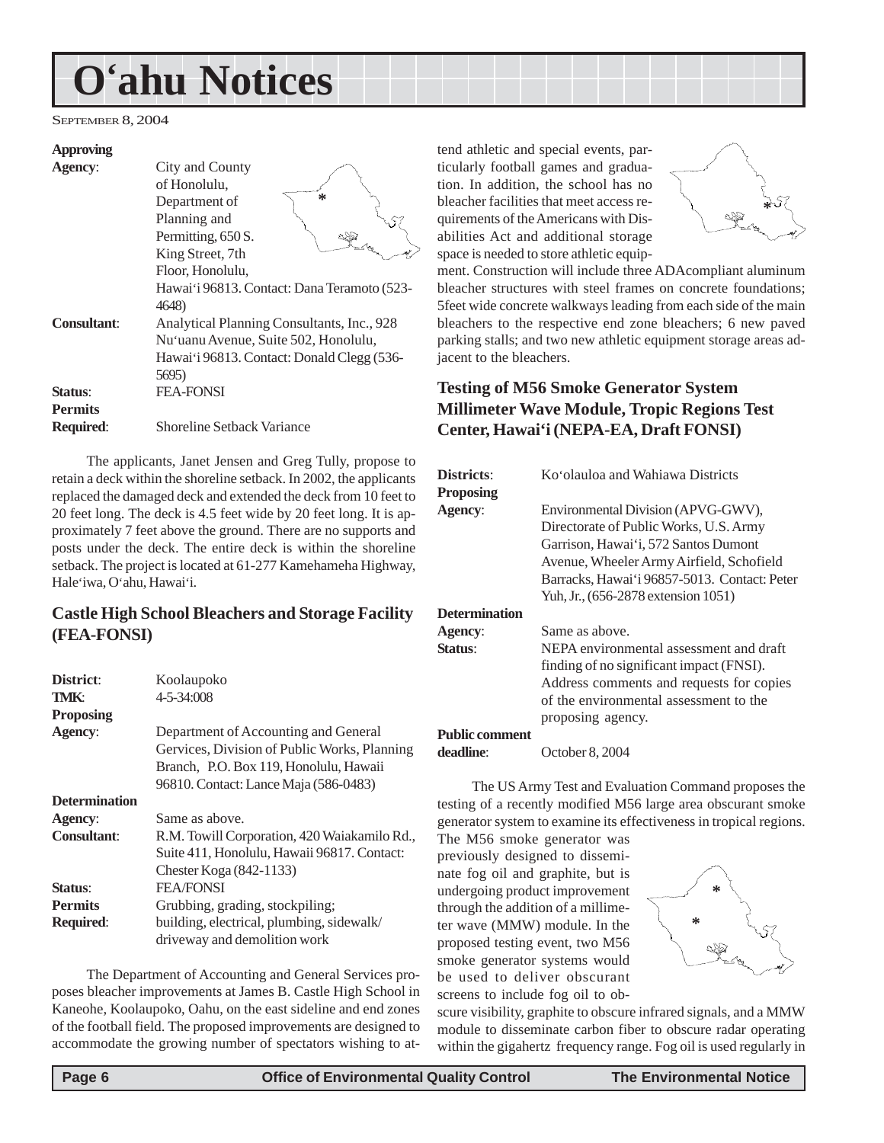# <span id="page-5-0"></span>**O'ahu Notices**

SEPTEMBER 8, 2004

#### **Approving**

| <b>Agency:</b>     | City and County                             |
|--------------------|---------------------------------------------|
|                    | of Honolulu,                                |
|                    | $\ast$<br>Department of                     |
|                    | Planning and                                |
|                    | Permitting, 650 S.                          |
|                    | King Street, 7th                            |
|                    | Floor, Honolulu,                            |
|                    | Hawai'i 96813. Contact: Dana Teramoto (523- |
|                    | 4648)                                       |
| <b>Consultant:</b> | Analytical Planning Consultants, Inc., 928  |
|                    | Nu'uanu Avenue, Suite 502, Honolulu,        |
|                    | Hawai'i 96813. Contact: Donald Clegg (536-  |
|                    | 5695)                                       |
| Status:            | <b>FEA-FONSI</b>                            |
| <b>Permits</b>     |                                             |
| <b>Required:</b>   | <b>Shoreline Setback Variance</b>           |

The applicants, Janet Jensen and Greg Tully, propose to retain a deck within the shoreline setback. In 2002, the applicants replaced the damaged deck and extended the deck from 10 feet to 20 feet long. The deck is 4.5 feet wide by 20 feet long. It is approximately 7 feet above the ground. There are no supports and posts under the deck. The entire deck is within the shoreline setback. The project is located at 61-277 Kamehameha Highway, Hale'iwa, O'ahu, Hawai'i.

### **Castle High School Bleachers and Storage Facility (FEA-FONSI)**

| District:            | Koolaupoko                                   |
|----------------------|----------------------------------------------|
| TMK:                 | $4 - 5 - 34:008$                             |
| <b>Proposing</b>     |                                              |
| <b>Agency:</b>       | Department of Accounting and General         |
|                      | Gervices, Division of Public Works, Planning |
|                      | Branch, P.O. Box 119, Honolulu, Hawaii       |
|                      | 96810. Contact: Lance Maja (586-0483)        |
| <b>Determination</b> |                                              |
| <b>Agency:</b>       | Same as above.                               |
| <b>Consultant:</b>   | R.M. Towill Corporation, 420 Waiakamilo Rd., |
|                      | Suite 411, Honolulu, Hawaii 96817. Contact:  |
|                      | Chester Koga $(842-1133)$                    |
| <b>Status:</b>       | <b>FEA/FONSI</b>                             |
| <b>Permits</b>       | Grubbing, grading, stockpiling;              |
| <b>Required:</b>     | building, electrical, plumbing, sidewalk/    |
|                      | driveway and demolition work                 |

The Department of Accounting and General Services proposes bleacher improvements at James B. Castle High School in Kaneohe, Koolaupoko, Oahu, on the east sideline and end zones of the football field. The proposed improvements are designed to accommodate the growing number of spectators wishing to at-

tend athletic and special events, particularly football games and graduation. In addition, the school has no bleacher facilities that meet access requirements of the Americans with Disabilities Act and additional storage space is needed to store athletic equip-



ment. Construction will include three ADAcompliant aluminum bleacher structures with steel frames on concrete foundations; 5feet wide concrete walkways leading from each side of the main bleachers to the respective end zone bleachers; 6 new paved parking stalls; and two new athletic equipment storage areas adjacent to the bleachers.

### **Testing of M56 Smoke Generator System Millimeter Wave Module, Tropic Regions Test Center, Hawai'i (NEPA-EA, Draft FONSI)**

| Districts:            | Ko'olauloa and Wahiawa Districts             |
|-----------------------|----------------------------------------------|
| <b>Proposing</b>      |                                              |
| Agency:               | Environmental Division (APVG-GWV),           |
|                       | Directorate of Public Works, U.S. Army       |
|                       | Garrison, Hawai'i, 572 Santos Dumont         |
|                       | Avenue, Wheeler Army Airfield, Schofield     |
|                       | Barracks, Hawai'i 96857-5013. Contact: Peter |
|                       | Yuh, Jr., (656-2878 extension 1051)          |
| <b>Determination</b>  |                                              |
| Agency:               | Same as above.                               |
| Status:               | NEPA environmental assessment and draft      |
|                       | finding of no significant impact (FNSI).     |
|                       | Address comments and requests for copies     |
|                       | of the environmental assessment to the       |
|                       | proposing agency.                            |
| <b>Public comment</b> |                                              |

**deadline**: October 8, 2004

The US Army Test and Evaluation Command proposes the testing of a recently modified M56 large area obscurant smoke generator system to examine its effectiveness in tropical regions.

The M56 smoke generator was previously designed to disseminate fog oil and graphite, but is undergoing product improvement through the addition of a millimeter wave (MMW) module. In the proposed testing event, two M56 smoke generator systems would be used to deliver obscurant screens to include fog oil to ob-



scure visibility, graphite to obscure infrared signals, and a MMW module to disseminate carbon fiber to obscure radar operating within the gigahertz frequency range. Fog oil is used regularly in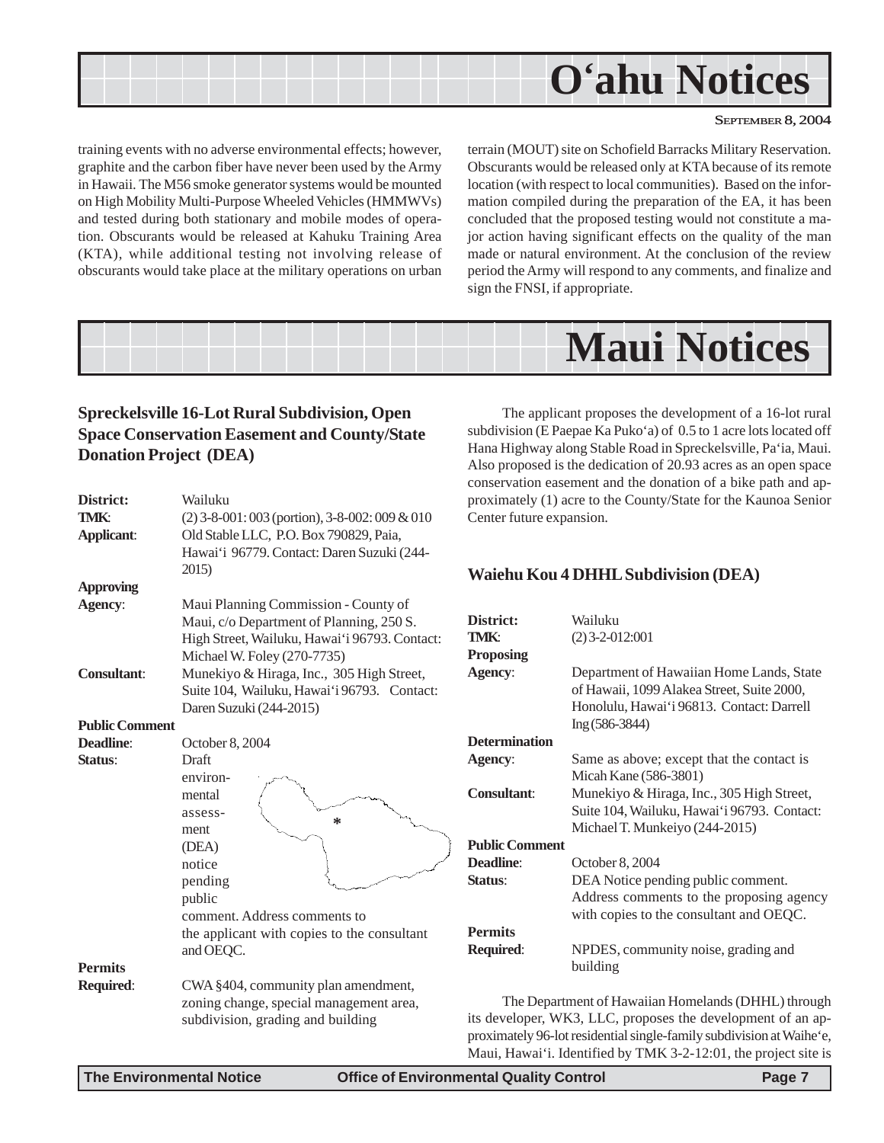<span id="page-6-0"></span>

training events with no adverse environmental effects; however, graphite and the carbon fiber have never been used by the Army in Hawaii. The M56 smoke generator systems would be mounted on High Mobility Multi-Purpose Wheeled Vehicles (HMMWVs) and tested during both stationary and mobile modes of operation. Obscurants would be released at Kahuku Training Area (KTA), while additional testing not involving release of obscurants would take place at the military operations on urban terrain (MOUT) site on Schofield Barracks Military Reservation. Obscurants would be released only at KTA because of its remote location (with respect to local communities). Based on the information compiled during the preparation of the EA, it has been concluded that the proposed testing would not constitute a major action having significant effects on the quality of the man made or natural environment. At the conclusion of the review period the Army will respond to any comments, and finalize and sign the FNSI, if appropriate.

# **Maui Notices**

### **Spreckelsville 16-Lot Rural Subdivision, Open Space Conservation Easement and County/State Donation Project (DEA)**

| District:             | Wailuku                                          | proxi         |
|-----------------------|--------------------------------------------------|---------------|
| <b>TMK:</b>           | $(2)$ 3-8-001: 003 (portion), 3-8-002: 009 & 010 | Cente         |
| <b>Applicant:</b>     | Old Stable LLC, P.O. Box 790829, Paia,           |               |
|                       | Hawai'i 96779. Contact: Daren Suzuki (244-       |               |
|                       | 2015)                                            | Waie          |
| <b>Approving</b>      |                                                  |               |
| Agency:               | Maui Planning Commission - County of             |               |
|                       | Maui, c/o Department of Planning, 250 S.         | Distri        |
|                       | High Street, Wailuku, Hawai'i 96793. Contact:    | TMK:          |
|                       | Michael W. Foley (270-7735)                      | Propo         |
| <b>Consultant:</b>    | Munekiyo & Hiraga, Inc., 305 High Street,        | Ageno         |
|                       | Suite 104, Wailuku, Hawai'i 96793. Contact:      |               |
|                       | Daren Suzuki (244-2015)                          |               |
| <b>Public Comment</b> |                                                  |               |
| <b>Deadline:</b>      | October 8, 2004                                  | <b>Deter</b>  |
| Status:               | <b>Draft</b>                                     | Ageno         |
|                       | environ-                                         |               |
|                       | mental                                           | Consu         |
|                       | assess-                                          |               |
|                       | ∗<br>ment                                        |               |
|                       | (DEA)                                            | <b>Public</b> |
|                       | notice                                           | <b>Deadl</b>  |
|                       | pending                                          | <b>Status</b> |
|                       | public                                           |               |
|                       | comment. Address comments to                     |               |
|                       | the applicant with copies to the consultant      | Perm          |
|                       | and OEQC.                                        | Requi         |
| <b>Permits</b>        |                                                  |               |
| Required:             | CWA §404, community plan amendment,              |               |
|                       | zoning change, special management area,          |               |
|                       | subdivision, grading and building                | its de        |
|                       |                                                  | proxin        |

The applicant proposes the development of a 16-lot rural subdivision (E Paepae Ka Puko'a) of 0.5 to 1 acre lots located off Hana Highway along Stable Road in Spreckelsville, Pa'ia, Maui. Also proposed is the dedication of 20.93 acres as an open space conservation easement and the donation of a bike path and apmately (1) acre to the County/State for the Kaunoa Senior er future expansion.

### **Waiehu Kou 4 DHHL Subdivision (DEA)**

| District:             | Wailuku                                                                                                                                                 |
|-----------------------|---------------------------------------------------------------------------------------------------------------------------------------------------------|
| TMK:                  | $(2)$ 3-2-012:001                                                                                                                                       |
| <b>Proposing</b>      |                                                                                                                                                         |
| <b>Agency:</b>        | Department of Hawaiian Home Lands, State<br>of Hawaii, 1099 Alakea Street, Suite 2000,<br>Honolulu, Hawai'i 96813. Contact: Darrell<br>$Ing (586-3844)$ |
| <b>Determination</b>  |                                                                                                                                                         |
| Agency:               | Same as above; except that the contact is                                                                                                               |
|                       | Micah Kane (586-3801)                                                                                                                                   |
| <b>Consultant:</b>    | Munekiyo & Hiraga, Inc., 305 High Street,                                                                                                               |
|                       | Suite 104, Wailuku, Hawai'i 96793. Contact:                                                                                                             |
|                       | Michael T. Munkeiyo (244-2015)                                                                                                                          |
| <b>Public Comment</b> |                                                                                                                                                         |
| <b>Deadline:</b>      | October 8, 2004                                                                                                                                         |
| Status:               | DEA Notice pending public comment.                                                                                                                      |
|                       | Address comments to the proposing agency<br>with copies to the consultant and OEQC.                                                                     |
| <b>Permits</b>        |                                                                                                                                                         |
| <b>Required:</b>      | NPDES, community noise, grading and<br>building                                                                                                         |

The Department of Hawaiian Homelands (DHHL) through veloper, WK3, LLC, proposes the development of an apnately 96-lot residential single-family subdivision at Waihe'e, Maui, Hawai'i. Identified by TMK 3-2-12:01, the project site is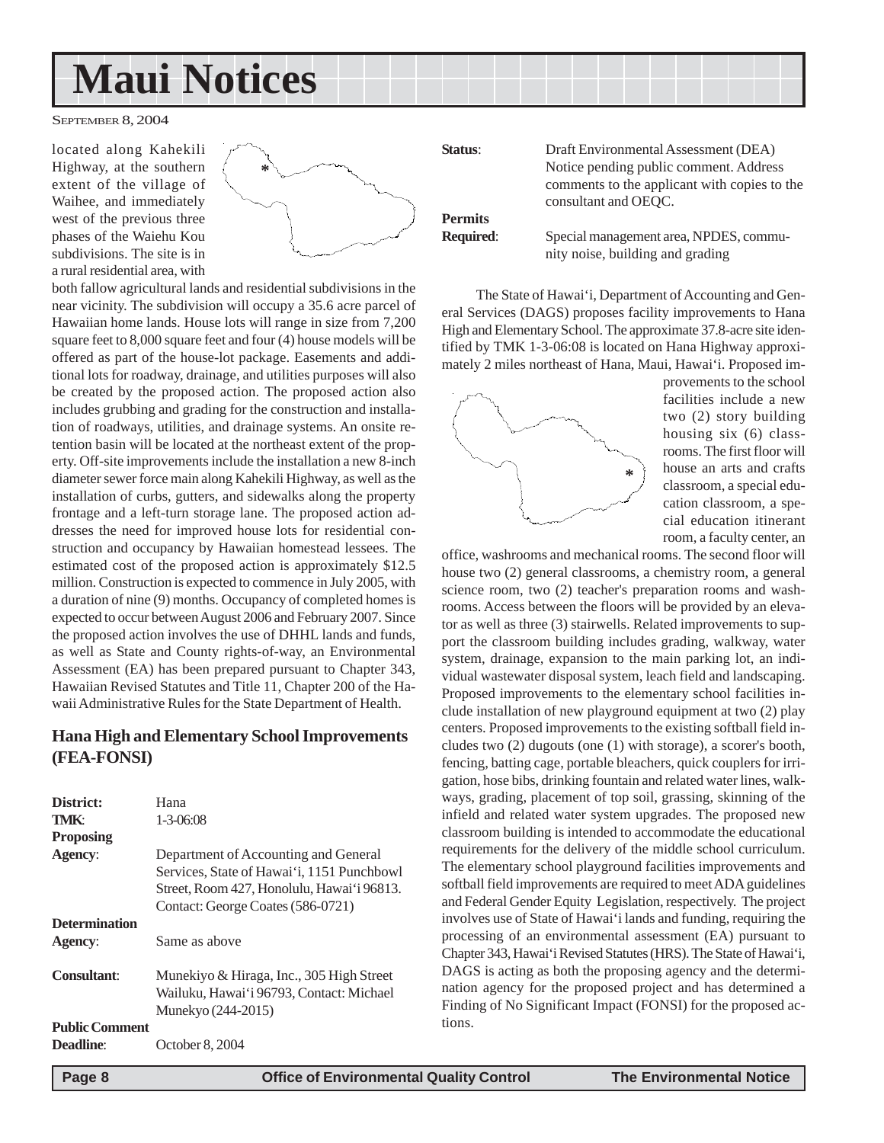# <span id="page-7-0"></span>**Maui Notices**

SEPTEMBER 8, 2004

located along Kahekili Highway, at the southern extent of the village of Waihee, and immediately west of the previous three phases of the Waiehu Kou subdivisions. The site is in a rural residential area, with



both fallow agricultural lands and residential subdivisions in the near vicinity. The subdivision will occupy a 35.6 acre parcel of Hawaiian home lands. House lots will range in size from 7,200 square feet to 8,000 square feet and four (4) house models will be offered as part of the house-lot package. Easements and additional lots for roadway, drainage, and utilities purposes will also be created by the proposed action. The proposed action also includes grubbing and grading for the construction and installation of roadways, utilities, and drainage systems. An onsite retention basin will be located at the northeast extent of the property. Off-site improvements include the installation a new 8-inch diameter sewer force main along Kahekili Highway, as well as the installation of curbs, gutters, and sidewalks along the property frontage and a left-turn storage lane. The proposed action addresses the need for improved house lots for residential construction and occupancy by Hawaiian homestead lessees. The estimated cost of the proposed action is approximately \$12.5 million. Construction is expected to commence in July 2005, with a duration of nine (9) months. Occupancy of completed homes is expected to occur between August 2006 and February 2007. Since the proposed action involves the use of DHHL lands and funds, as well as State and County rights-of-way, an Environmental Assessment (EA) has been prepared pursuant to Chapter 343, Hawaiian Revised Statutes and Title 11, Chapter 200 of the Hawaii Administrative Rules for the State Department of Health.

### **Hana High and Elementary School Improvements (FEA-FONSI)**

| District:<br><b>TMK:</b> | Hana<br>$1 - 3 - 06:08$                                                                                                                                               |
|--------------------------|-----------------------------------------------------------------------------------------------------------------------------------------------------------------------|
| <b>Proposing</b>         |                                                                                                                                                                       |
| Agency:                  | Department of Accounting and General<br>Services, State of Hawai'i, 1151 Punchbowl<br>Street, Room 427, Honolulu, Hawai'i 96813.<br>Contact: George Coates (586-0721) |
| <b>Determination</b>     |                                                                                                                                                                       |
| Agency:                  | Same as above                                                                                                                                                         |
| Consultant:              | Munekiyo & Hiraga, Inc., 305 High Street<br>Wailuku, Hawai'i 96793, Contact: Michael<br>Munekyo (244-2015)                                                            |
| <b>Public Comment</b>    |                                                                                                                                                                       |
| Deadline:                | October 8, 2004                                                                                                                                                       |

**Status**: Draft Environmental Assessment (DEA) Notice pending public comment. Address comments to the applicant with copies to the consultant and OEQC.

**Permits**

**Required**: Special management area, NPDES, community noise, building and grading

The State of Hawai'i, Department of Accounting and General Services (DAGS) proposes facility improvements to Hana High and Elementary School. The approximate 37.8-acre site identified by TMK 1-3-06:08 is located on Hana Highway approximately 2 miles northeast of Hana, Maui, Hawai'i. Proposed im-



provements to the school facilities include a new two (2) story building housing six (6) classrooms. The first floor will house an arts and crafts classroom, a special education classroom, a special education itinerant room, a faculty center, an

office, washrooms and mechanical rooms. The second floor will house two (2) general classrooms, a chemistry room, a general science room, two (2) teacher's preparation rooms and washrooms. Access between the floors will be provided by an elevator as well as three (3) stairwells. Related improvements to support the classroom building includes grading, walkway, water system, drainage, expansion to the main parking lot, an individual wastewater disposal system, leach field and landscaping. Proposed improvements to the elementary school facilities include installation of new playground equipment at two (2) play centers. Proposed improvements to the existing softball field includes two (2) dugouts (one (1) with storage), a scorer's booth, fencing, batting cage, portable bleachers, quick couplers for irrigation, hose bibs, drinking fountain and related water lines, walkways, grading, placement of top soil, grassing, skinning of the infield and related water system upgrades. The proposed new classroom building is intended to accommodate the educational requirements for the delivery of the middle school curriculum. The elementary school playground facilities improvements and softball field improvements are required to meet ADA guidelines and Federal Gender Equity Legislation, respectively. The project involves use of State of Hawai'i lands and funding, requiring the processing of an environmental assessment (EA) pursuant to Chapter 343, Hawai'i Revised Statutes (HRS). The State of Hawai'i, DAGS is acting as both the proposing agency and the determination agency for the proposed project and has determined a Finding of No Significant Impact (FONSI) for the proposed actions.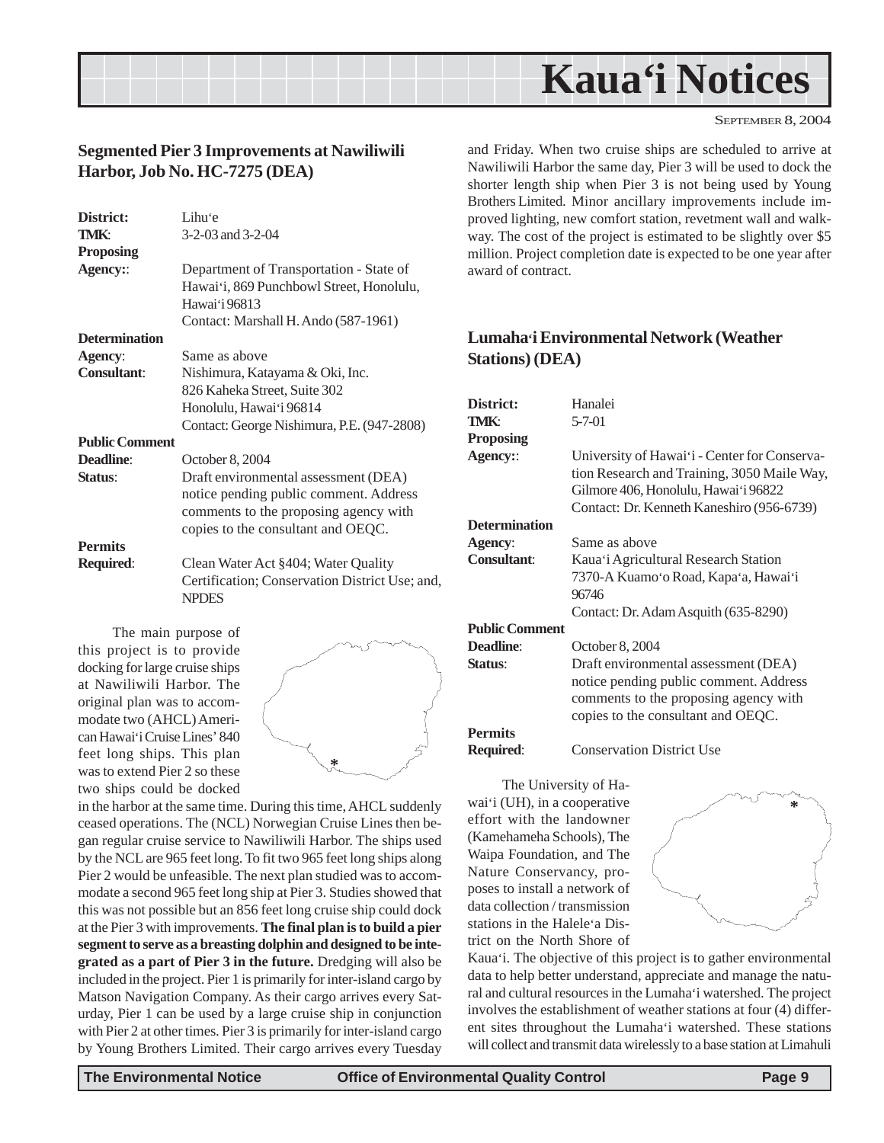<span id="page-8-0"></span>

### **Segmented Pier 3 Improvements at Nawiliwili Harbor, Job No. HC-7275 (DEA)**

| District:             | Lihu'e                                                         |
|-----------------------|----------------------------------------------------------------|
| TMK:                  | $3-2-03$ and $3-2-04$                                          |
| <b>Proposing</b>      |                                                                |
| Agency::              | Department of Transportation - State of                        |
|                       | Hawai'i, 869 Punchbowl Street, Honolulu,                       |
|                       | Hawai'i 96813                                                  |
|                       | Contact: Marshall H. Ando (587-1961)                           |
| <b>Determination</b>  |                                                                |
| Agency:               | Same as above                                                  |
| <b>Consultant:</b>    | Nishimura, Katayama & Oki, Inc.                                |
|                       | 826 Kaheka Street, Suite 302                                   |
|                       | Honolulu, Hawai'i 96814                                        |
|                       | Contact: George Nishimura, P.E. (947-2808)                     |
| <b>Public Comment</b> |                                                                |
| Deadline:             | October 8, 2004                                                |
| Status:               | Draft environmental assessment (DEA)                           |
|                       | notice pending public comment. Address                         |
|                       | comments to the proposing agency with                          |
|                       | copies to the consultant and OEQC.                             |
| <b>Permits</b>        |                                                                |
| <b>Required:</b>      | Clean Water Act §404; Water Quality                            |
|                       | Certification; Conservation District Use; and,<br><b>NPDES</b> |

The main purpose of this project is to provide docking for large cruise ships at Nawiliwili Harbor. The original plan was to accommodate two (AHCL) American Hawai'i Cruise Lines' 840 feet long ships. This plan was to extend Pier 2 so these two ships could be docked



in the harbor at the same time. During this time, AHCL suddenly ceased operations. The (NCL) Norwegian Cruise Lines then began regular cruise service to Nawiliwili Harbor. The ships used by the NCL are 965 feet long. To fit two 965 feet long ships along Pier 2 would be unfeasible. The next plan studied was to accommodate a second 965 feet long ship at Pier 3. Studies showed that this was not possible but an 856 feet long cruise ship could dock at the Pier 3 with improvements. **The final plan is to build a pier segment to serve as a breasting dolphin and designed to be integrated as a part of Pier 3 in the future.** Dredging will also be included in the project. Pier 1 is primarily for inter-island cargo by Matson Navigation Company. As their cargo arrives every Saturday, Pier 1 can be used by a large cruise ship in conjunction with Pier 2 at other times. Pier 3 is primarily for inter-island cargo by Young Brothers Limited. Their cargo arrives every Tuesday

and Friday. When two cruise ships are scheduled to arrive at Nawiliwili Harbor the same day, Pier 3 will be used to dock the shorter length ship when Pier 3 is not being used by Young Brothers Limited. Minor ancillary improvements include improved lighting, new comfort station, revetment wall and walkway. The cost of the project is estimated to be slightly over \$5 million. Project completion date is expected to be one year after award of contract.

### **Lumaha'i Environmental Network (Weather Stations) (DEA)**

| District:             | Hanalei                                      |
|-----------------------|----------------------------------------------|
| TMK:                  | $5 - 7 - 01$                                 |
| Proposing             |                                              |
| <b>Agency::</b>       | University of Hawai'i - Center for Conserva- |
|                       | tion Research and Training, 3050 Maile Way,  |
|                       | Gilmore 406, Honolulu, Hawai'i 96822         |
|                       | Contact: Dr. Kenneth Kaneshiro (956-6739)    |
| Determination         |                                              |
| <b>Agency:</b>        | Same as above                                |
| <b>Consultant:</b>    | Kaua'i Agricultural Research Station         |
|                       | 7370-A Kuamo'o Road, Kapa'a, Hawai'i         |
|                       | 96746                                        |
|                       | Contact: Dr. Adam Asquith (635-8290)         |
| <b>Public Comment</b> |                                              |
| <b>Deadline</b> :     | October 8, 2004                              |
| Status:               | Draft environmental assessment (DEA)         |
|                       | notice pending public comment. Address       |
|                       | comments to the proposing agency with        |
|                       | copies to the consultant and OEQC.           |
| <b>Permits</b>        |                                              |
| <b>Required:</b>      | <b>Conservation District Use</b>             |
|                       |                                              |
|                       |                                              |

The University of Hawai'i (UH), in a cooperative effort with the landowner (Kamehameha Schools), The Waipa Foundation, and The Nature Conservancy, proposes to install a network of data collection / transmission stations in the Halele'a District on the North Shore of

**\***

Kaua'i. The objective of this project is to gather environmental data to help better understand, appreciate and manage the natural and cultural resources in the Lumaha'i watershed. The project involves the establishment of weather stations at four (4) different sites throughout the Lumaha'i watershed. These stations will collect and transmit data wirelessly to a base station at Limahuli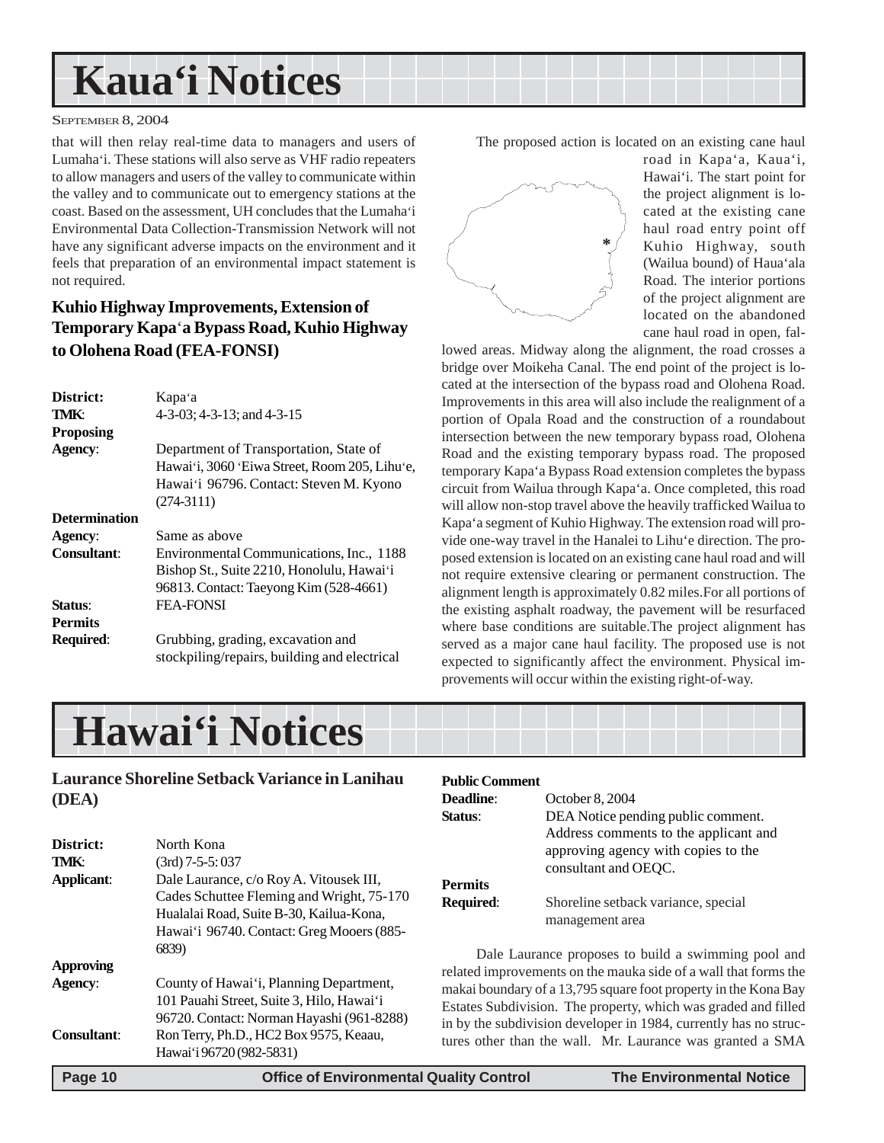# **Kaua'i Notices**

#### SEPTEMBER 8, 2004

that will then relay real-time data to managers and users of Lumaha'i. These stations will also serve as VHF radio repeaters to allow managers and users of the valley to communicate within the valley and to communicate out to emergency stations at the coast. Based on the assessment, UH concludes that the Lumaha'i Environmental Data Collection-Transmission Network will not have any significant adverse impacts on the environment and it feels that preparation of an environmental impact statement is not required.

## **Kuhio Highway Improvements, Extension of Temporary Kapa**'**a Bypass Road, Kuhio Highway to Olohena Road (FEA-FONSI)**

| District:            | Kapa'a                                                                            |
|----------------------|-----------------------------------------------------------------------------------|
| TMK:                 | $4-3-03$ ; $4-3-13$ ; and $4-3-15$                                                |
| <b>Proposing</b>     |                                                                                   |
| Agency:              | Department of Transportation, State of                                            |
|                      | Hawai'i, 3060 'Eiwa Street, Room 205, Lihu'e,                                     |
|                      | Hawai'i 96796. Contact: Steven M. Kyono                                           |
|                      | $(274-3111)$                                                                      |
| <b>Determination</b> |                                                                                   |
| Agency:              | Same as above                                                                     |
| <b>Consultant:</b>   | Environmental Communications, Inc., 1188                                          |
|                      | Bishop St., Suite 2210, Honolulu, Hawai'i                                         |
|                      | 96813. Contact: Taeyong Kim (528-4661)                                            |
| Status:              | <b>FEA-FONSI</b>                                                                  |
| <b>Permits</b>       |                                                                                   |
| <b>Required:</b>     | Grubbing, grading, excavation and<br>stockpiling/repairs, building and electrical |

The proposed action is located on an existing cane haul



road in Kapa'a, Kaua'i, Hawai'i. The start point for the project alignment is located at the existing cane haul road entry point off Kuhio Highway, south (Wailua bound) of Haua'ala Road. The interior portions of the project alignment are located on the abandoned cane haul road in open, fal-

lowed areas. Midway along the alignment, the road crosses a bridge over Moikeha Canal. The end point of the project is located at the intersection of the bypass road and Olohena Road. Improvements in this area will also include the realignment of a portion of Opala Road and the construction of a roundabout intersection between the new temporary bypass road, Olohena Road and the existing temporary bypass road. The proposed temporary Kapa'a Bypass Road extension completes the bypass circuit from Wailua through Kapa'a. Once completed, this road will allow non-stop travel above the heavily trafficked Wailua to Kapa'a segment of Kuhio Highway. The extension road will provide one-way travel in the Hanalei to Lihu'e direction. The proposed extension is located on an existing cane haul road and will not require extensive clearing or permanent construction. The alignment length is approximately 0.82 miles.For all portions of the existing asphalt roadway, the pavement will be resurfaced where base conditions are suitable.The project alignment has served as a major cane haul facility. The proposed use is not expected to significantly affect the environment. Physical improvements will occur within the existing right-of-way.

# **Hawai'i Notices**

**Laurance Shoreline Setback Variance in Lanihau (DEA)**

| <b>Dang 10</b>                     | Office of Environmental Quality Control                                                                                                                                                                   |                                                                                                                                                                                                                                                             | <b>The Environmental Notice</b>                                                                                               |
|------------------------------------|-----------------------------------------------------------------------------------------------------------------------------------------------------------------------------------------------------------|-------------------------------------------------------------------------------------------------------------------------------------------------------------------------------------------------------------------------------------------------------------|-------------------------------------------------------------------------------------------------------------------------------|
| <b>Consultant:</b>                 | Ron Terry, Ph.D., HC2 Box 9575, Keaau,<br>Hawai'i 96720 (982-5831)                                                                                                                                        |                                                                                                                                                                                                                                                             | in by the subdivision developer in 1984, currently has no struc-<br>tures other than the wall. Mr. Laurance was granted a SMA |
| <b>Approving</b><br><b>Agency:</b> | County of Hawai'i, Planning Department,<br>101 Pauahi Street, Suite 3, Hilo, Hawai'i<br>96720. Contact: Norman Hayashi (961-8288)                                                                         | Dale Laurance proposes to build a swimming pool and<br>related improvements on the mauka side of a wall that forms the<br>makai boundary of a 13,795 square foot property in the Kona Bay<br>Estates Subdivision. The property, which was graded and filled |                                                                                                                               |
| TMK:<br>Applicant:                 | (3rd) 7-5-5: 037<br>Dale Laurance, c/o Roy A. Vitousek III,<br>Cades Schuttee Fleming and Wright, 75-170<br>Hualalai Road, Suite B-30, Kailua-Kona,<br>Hawai'i 96740. Contact: Greg Mooers (885-<br>6839) | <b>Permits</b><br><b>Required:</b>                                                                                                                                                                                                                          | approving agency with copies to the<br>consultant and OEOC.<br>Shoreline setback variance, special<br>management area         |
| District:                          | North Kona                                                                                                                                                                                                |                                                                                                                                                                                                                                                             | Address comments to the applicant and                                                                                         |

**Public Comment**

**Deadline**: October 8, 2004

**Status:** DEA Notice pending public comment.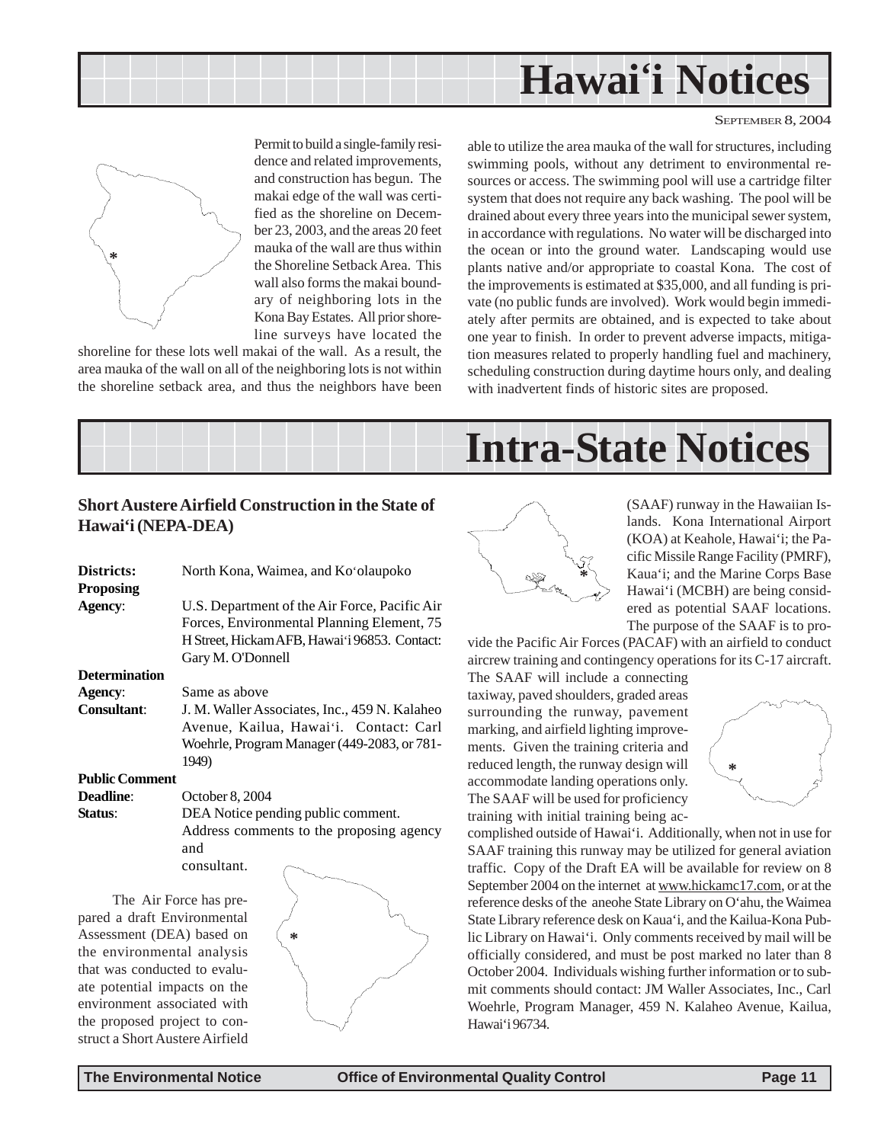



Permit to build a single-family residence and related improvements, and construction has begun. The makai edge of the wall was certified as the shoreline on December 23, 2003, and the areas 20 feet mauka of the wall are thus within the Shoreline Setback Area. This wall also forms the makai boundary of neighboring lots in the Kona Bay Estates. All prior shoreline surveys have located the

shoreline for these lots well makai of the wall. As a result, the area mauka of the wall on all of the neighboring lots is not within the shoreline setback area, and thus the neighbors have been able to utilize the area mauka of the wall for structures, including swimming pools, without any detriment to environmental resources or access. The swimming pool will use a cartridge filter system that does not require any back washing. The pool will be drained about every three years into the municipal sewer system, in accordance with regulations. No water will be discharged into the ocean or into the ground water. Landscaping would use plants native and/or appropriate to coastal Kona. The cost of the improvements is estimated at \$35,000, and all funding is private (no public funds are involved). Work would begin immediately after permits are obtained, and is expected to take about one year to finish. In order to prevent adverse impacts, mitigation measures related to properly handling fuel and machinery, scheduling construction during daytime hours only, and dealing with inadvertent finds of historic sites are proposed.



### **Short Austere Airfield Construction in the State of Hawai'i (NEPA-DEA)**

| Districts:            | North Kona, Waimea, and Ko'olaupoko           |
|-----------------------|-----------------------------------------------|
| <b>Proposing</b>      |                                               |
| Agency:               | U.S. Department of the Air Force, Pacific Air |
|                       | Forces, Environmental Planning Element, 75    |
|                       | H Street, Hickam AFB, Hawai'i 96853. Contact: |
|                       | Gary M. O'Donnell                             |
| <b>Determination</b>  |                                               |
| Agency:               | Same as above                                 |
| Consultant:           | J. M. Waller Associates, Inc., 459 N. Kalaheo |
|                       | Avenue, Kailua, Hawai'i. Contact: Carl        |
|                       | Woehrle, Program Manager (449-2083, or 781-   |
|                       | 1949)                                         |
| <b>Public Comment</b> |                                               |
|                       |                                               |

**Deadline**: October 8, 2004 **Status**: DEA Notice pending public comment. Address comments to the proposing agency and consultant.

The Air Force has prepared a draft Environmental Assessment (DEA) based on the environmental analysis that was conducted to evaluate potential impacts on the environment associated with the proposed project to construct a Short Austere Airfield





(SAAF) runway in the Hawaiian Islands. Kona International Airport (KOA) at Keahole, Hawai'i; the Pacific Missile Range Facility (PMRF), Kaua'i; and the Marine Corps Base Hawai'i (MCBH) are being considered as potential SAAF locations. The purpose of the SAAF is to pro-

vide the Pacific Air Forces (PACAF) with an airfield to conduct aircrew training and contingency operations for its C-17 aircraft.

The SAAF will include a connecting taxiway, paved shoulders, graded areas surrounding the runway, pavement marking, and airfield lighting improvements. Given the training criteria and reduced length, the runway design will accommodate landing operations only. The SAAF will be used for proficiency training with initial training being ac-



complished outside of Hawai'i. Additionally, when not in use for SAAF training this runway may be utilized for general aviation traffic. Copy of the Draft EA will be available for review on 8 September 2004 on the internet at www.hickamc17.com, or at the reference desks of the aneohe State Library on O'ahu, the Waimea State Library reference desk on Kaua'i, and the Kailua-Kona Public Library on Hawai'i. Only comments received by mail will be officially considered, and must be post marked no later than 8 October 2004. Individuals wishing further information or to submit comments should contact: JM Waller Associates, Inc., Carl Woehrle, Program Manager, 459 N. Kalaheo Avenue, Kailua, Hawai'i 96734.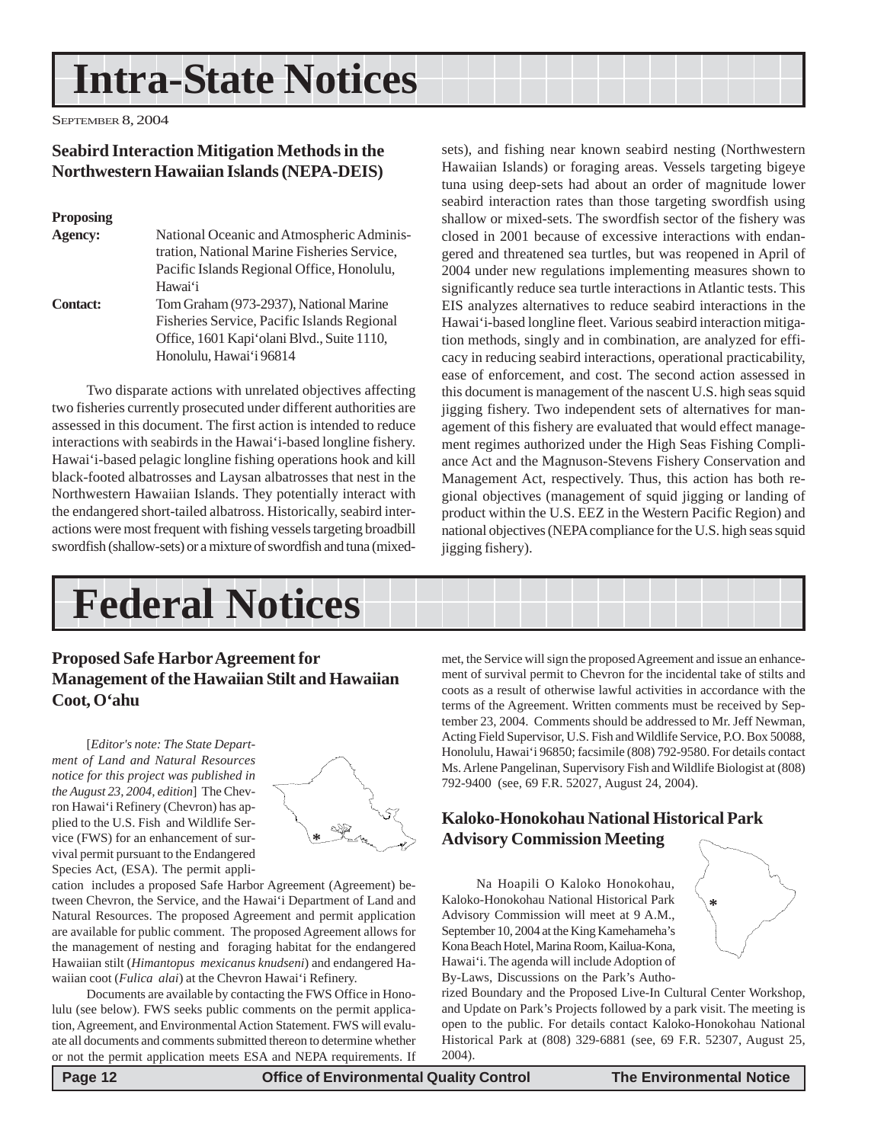# <span id="page-11-0"></span>**Intra-State Notices**

SEPTEMBER 8, 2004

### **Seabird Interaction Mitigation Methods in the Northwestern Hawaiian Islands (NEPA-DEIS)**

#### **Proposing**

| Agency:         | National Oceanic and Atmospheric Adminis-   |
|-----------------|---------------------------------------------|
|                 | tration, National Marine Fisheries Service, |
|                 | Pacific Islands Regional Office, Honolulu,  |
|                 | Hawai'i                                     |
| <b>Contact:</b> | Tom Graham (973-2937), National Marine      |
|                 | Fisheries Service, Pacific Islands Regional |
|                 | Office, 1601 Kapi 'olani Blvd., Suite 1110, |
|                 | Honolulu, Hawai'i 96814                     |
|                 |                                             |

Two disparate actions with unrelated objectives affecting two fisheries currently prosecuted under different authorities are assessed in this document. The first action is intended to reduce interactions with seabirds in the Hawai'i-based longline fishery. Hawai'i-based pelagic longline fishing operations hook and kill black-footed albatrosses and Laysan albatrosses that nest in the Northwestern Hawaiian Islands. They potentially interact with the endangered short-tailed albatross. Historically, seabird interactions were most frequent with fishing vessels targeting broadbill swordfish (shallow-sets) or a mixture of swordfish and tuna (mixed-

sets), and fishing near known seabird nesting (Northwestern Hawaiian Islands) or foraging areas. Vessels targeting bigeye tuna using deep-sets had about an order of magnitude lower seabird interaction rates than those targeting swordfish using shallow or mixed-sets. The swordfish sector of the fishery was closed in 2001 because of excessive interactions with endangered and threatened sea turtles, but was reopened in April of 2004 under new regulations implementing measures shown to significantly reduce sea turtle interactions in Atlantic tests. This EIS analyzes alternatives to reduce seabird interactions in the Hawai'i-based longline fleet. Various seabird interaction mitigation methods, singly and in combination, are analyzed for efficacy in reducing seabird interactions, operational practicability, ease of enforcement, and cost. The second action assessed in this document is management of the nascent U.S. high seas squid jigging fishery. Two independent sets of alternatives for management of this fishery are evaluated that would effect management regimes authorized under the High Seas Fishing Compliance Act and the Magnuson-Stevens Fishery Conservation and Management Act, respectively. Thus, this action has both regional objectives (management of squid jigging or landing of product within the U.S. EEZ in the Western Pacific Region) and national objectives (NEPA compliance for the U.S. high seas squid jigging fishery).

# **Federal Notices**

### **Proposed Safe Harbor Agreement for Management of the Hawaiian Stilt and Hawaiian Coot, O'ahu**

[*Editor's note: The State Department of Land and Natural Resources notice for this project was published in the August 23, 2004, edition*] The Chevron Hawai'i Refinery (Chevron) has applied to the U.S. Fish and Wildlife Service (FWS) for an enhancement of survival permit pursuant to the Endangered Species Act, (ESA). The permit appli-



cation includes a proposed Safe Harbor Agreement (Agreement) between Chevron, the Service, and the Hawai'i Department of Land and Natural Resources. The proposed Agreement and permit application are available for public comment. The proposed Agreement allows for the management of nesting and foraging habitat for the endangered Hawaiian stilt (*Himantopus mexicanus knudseni*) and endangered Hawaiian coot (*Fulica alai*) at the Chevron Hawai'i Refinery.

Documents are available by contacting the FWS Office in Honolulu (see below). FWS seeks public comments on the permit application, Agreement, and Environmental Action Statement. FWS will evaluate all documents and comments submitted thereon to determine whether or not the permit application meets ESA and NEPA requirements. If met, the Service will sign the proposed Agreement and issue an enhancement of survival permit to Chevron for the incidental take of stilts and coots as a result of otherwise lawful activities in accordance with the terms of the Agreement. Written comments must be received by September 23, 2004. Comments should be addressed to Mr. Jeff Newman, Acting Field Supervisor, U.S. Fish and Wildlife Service, P.O. Box 50088, Honolulu, Hawai'i 96850; facsimile (808) 792-9580. For details contact Ms. Arlene Pangelinan, Supervisory Fish and Wildlife Biologist at (808) 792-9400 (see, 69 F.R. 52027, August 24, 2004).

### **Kaloko-Honokohau National Historical Park Advisory Commission Meeting**

Na Hoapili O Kaloko Honokohau, Kaloko-Honokohau National Historical Park Advisory Commission will meet at 9 A.M., September 10, 2004 at the King Kamehameha's Kona Beach Hotel, Marina Room, Kailua-Kona, Hawai'i. The agenda will include Adoption of By-Laws, Discussions on the Park's Autho-

rized Boundary and the Proposed Live-In Cultural Center Workshop, and Update on Park's Projects followed by a park visit. The meeting is open to the public. For details contact Kaloko-Honokohau National Historical Park at (808) 329-6881 (see, 69 F.R. 52307, August 25, 2004).

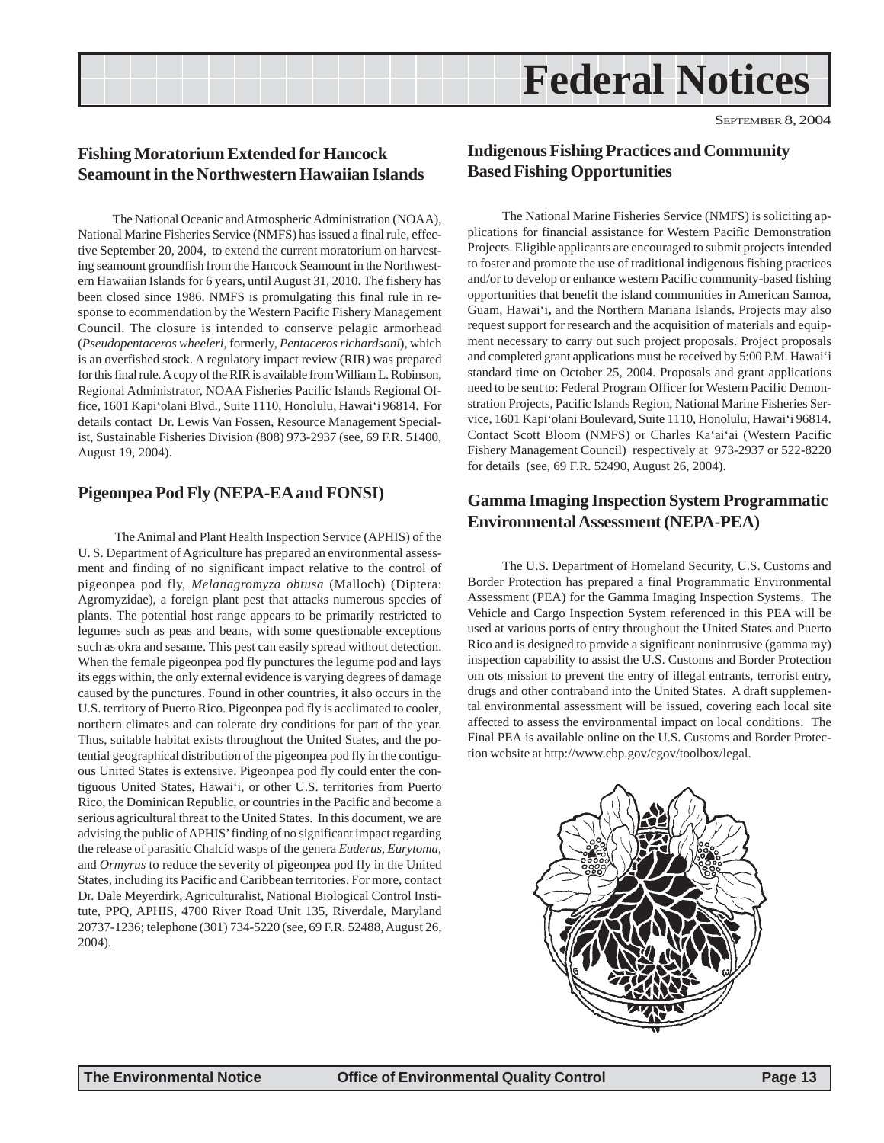# **Federal Notices**

### <span id="page-12-0"></span>**Fishing Moratorium Extended for Hancock Seamount in the Northwestern Hawaiian Islands**

The National Oceanic and Atmospheric Administration (NOAA), National Marine Fisheries Service (NMFS) has issued a final rule, effective September 20, 2004, to extend the current moratorium on harvesting seamount groundfish from the Hancock Seamount in the Northwestern Hawaiian Islands for 6 years, until August 31, 2010. The fishery has been closed since 1986. NMFS is promulgating this final rule in response to ecommendation by the Western Pacific Fishery Management Council. The closure is intended to conserve pelagic armorhead (*Pseudopentaceros wheeleri,* formerly, *Pentaceros richardsoni*), which is an overfished stock. A regulatory impact review (RIR) was prepared for this final rule. A copy of the RIR is available from William L. Robinson, Regional Administrator, NOAA Fisheries Pacific Islands Regional Office, 1601 Kapi'olani Blvd., Suite 1110, Honolulu, Hawai'i 96814. For details contact Dr. Lewis Van Fossen, Resource Management Specialist, Sustainable Fisheries Division (808) 973-2937 (see, 69 F.R. 51400, August 19, 2004).

### **Pigeonpea Pod Fly (NEPA-EA and FONSI)**

 The Animal and Plant Health Inspection Service (APHIS) of the U. S. Department of Agriculture has prepared an environmental assessment and finding of no significant impact relative to the control of pigeonpea pod fly, *Melanagromyza obtusa* (Malloch) (Diptera: Agromyzidae), a foreign plant pest that attacks numerous species of plants. The potential host range appears to be primarily restricted to legumes such as peas and beans, with some questionable exceptions such as okra and sesame. This pest can easily spread without detection. When the female pigeonpea pod fly punctures the legume pod and lays its eggs within, the only external evidence is varying degrees of damage caused by the punctures. Found in other countries, it also occurs in the U.S. territory of Puerto Rico. Pigeonpea pod fly is acclimated to cooler, northern climates and can tolerate dry conditions for part of the year. Thus, suitable habitat exists throughout the United States, and the potential geographical distribution of the pigeonpea pod fly in the contiguous United States is extensive. Pigeonpea pod fly could enter the contiguous United States, Hawai'i, or other U.S. territories from Puerto Rico, the Dominican Republic, or countries in the Pacific and become a serious agricultural threat to the United States. In this document, we are advising the public of APHIS' finding of no significant impact regarding the release of parasitic Chalcid wasps of the genera *Euderus*, *Eurytoma*, and *Ormyrus* to reduce the severity of pigeonpea pod fly in the United States, including its Pacific and Caribbean territories. For more, contact Dr. Dale Meyerdirk, Agriculturalist, National Biological Control Institute, PPQ, APHIS, 4700 River Road Unit 135, Riverdale, Maryland 20737-1236; telephone (301) 734-5220 (see, 69 F.R. 52488, August 26, 2004).

### **Indigenous Fishing Practices and Community Based Fishing Opportunities**

The National Marine Fisheries Service (NMFS) is soliciting applications for financial assistance for Western Pacific Demonstration Projects. Eligible applicants are encouraged to submit projects intended to foster and promote the use of traditional indigenous fishing practices and/or to develop or enhance western Pacific community-based fishing opportunities that benefit the island communities in American Samoa, Guam, Hawai'i**,** and the Northern Mariana Islands. Projects may also request support for research and the acquisition of materials and equipment necessary to carry out such project proposals. Project proposals and completed grant applications must be received by 5:00 P.M. Hawai'i standard time on October 25, 2004. Proposals and grant applications need to be sent to: Federal Program Officer for Western Pacific Demonstration Projects, Pacific Islands Region, National Marine Fisheries Service, 1601 Kapi'olani Boulevard, Suite 1110, Honolulu, Hawai'i 96814. Contact Scott Bloom (NMFS) or Charles Ka'ai'ai (Western Pacific Fishery Management Council) respectively at 973-2937 or 522-8220 for details (see, 69 F.R. 52490, August 26, 2004).

### **Gamma Imaging Inspection System Programmatic Environmental Assessment (NEPA-PEA)**

The U.S. Department of Homeland Security, U.S. Customs and Border Protection has prepared a final Programmatic Environmental Assessment (PEA) for the Gamma Imaging Inspection Systems. The Vehicle and Cargo Inspection System referenced in this PEA will be used at various ports of entry throughout the United States and Puerto Rico and is designed to provide a significant nonintrusive (gamma ray) inspection capability to assist the U.S. Customs and Border Protection om ots mission to prevent the entry of illegal entrants, terrorist entry, drugs and other contraband into the United States. A draft supplemental environmental assessment will be issued, covering each local site affected to assess the environmental impact on local conditions. The Final PEA is available online on the U.S. Customs and Border Protection website at http://www.cbp.gov/cgov/toolbox/legal.

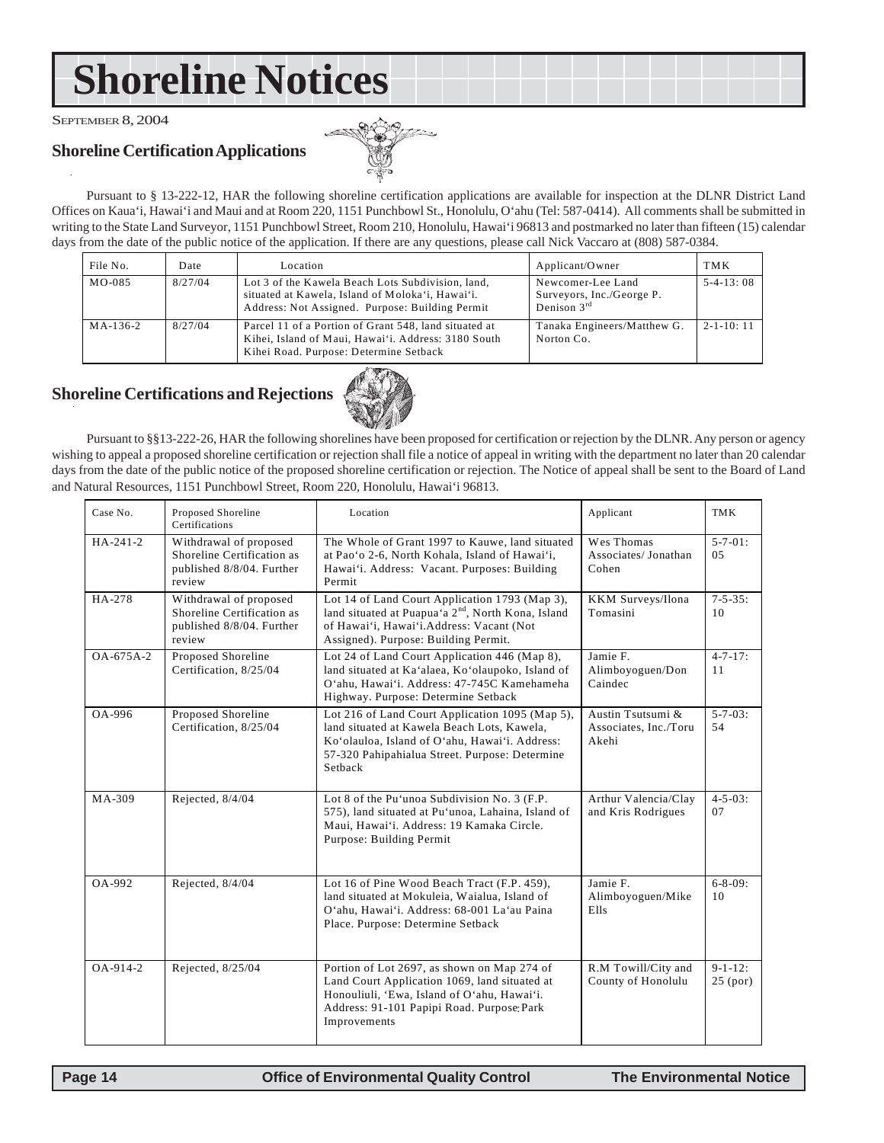# <span id="page-13-0"></span>**Shoreline Notices**

SEPTEMBER 8, 2004

### **Shoreline Certification Applications**



Pursuant to § 13-222-12, HAR the following shoreline certification applications are available for inspection at the DLNR District Land Offices on Kaua'i, Hawai'i and Maui and at Room 220, 1151 Punchbowl St., Honolulu, O'ahu (Tel: 587-0414). All comments shall be submitted in writing to the State Land Surveyor, 1151 Punchbowl Street, Room 210, Honolulu, Hawai'i 96813 and postmarked no later than fifteen (15) calendar days from the date of the public notice of the application. If there are any questions, please call Nick Vaccaro at (808) 587-0384.

| File No. | Date    | Location                                                                                                                                                 | Applicant/Owner                                                    | <b>TMK</b>      |
|----------|---------|----------------------------------------------------------------------------------------------------------------------------------------------------------|--------------------------------------------------------------------|-----------------|
| $MO-085$ | 8/27/04 | Lot 3 of the Kawela Beach Lots Subdivision, land,<br>situated at Kawela, Island of Moloka'i, Hawai'i.<br>Address: Not Assigned. Purpose: Building Permit | Newcomer-Lee Land<br>Surveyors, Inc./George P.<br>Denison $3^{rd}$ | $5-4-13:08$     |
| MA-136-2 | 8/27/04 | Parcel 11 of a Portion of Grant 548, land situated at<br>Kihei, Island of Maui, Hawai'i. Address: 3180 South<br>Kihei Road. Purpose: Determine Setback   | Tanaka Engineers/Matthew G.<br>Norton Co.                          | $2 - 1 - 10:11$ |

## **Shoreline Certifications and Rejections**



Pursuant to §§13-222-26, HAR the following shorelines have been proposed for certification or rejection by the DLNR. Any person or agency wishing to appeal a proposed shoreline certification or rejection shall file a notice of appeal in writing with the department no later than 20 calendar days from the date of the public notice of the proposed shoreline certification or rejection. The Notice of appeal shall be sent to the Board of Land and Natural Resources, 1151 Punchbowl Street, Room 220, Honolulu, Hawai'i 96813.

| Case No.        | Proposed Shoreline<br>Certifications                                                        | Location                                                                                                                                                                                                      | Applicant                                           | <b>TMK</b>                   |
|-----------------|---------------------------------------------------------------------------------------------|---------------------------------------------------------------------------------------------------------------------------------------------------------------------------------------------------------------|-----------------------------------------------------|------------------------------|
| HA-241-2        | Withdrawal of proposed<br>Shoreline Certification as<br>published 8/8/04. Further<br>review | The Whole of Grant 1997 to Kauwe, land situated<br>at Pao'o 2-6, North Kohala, Island of Hawai'i,<br>Hawai'i. Address: Vacant. Purposes: Building<br>Permit                                                   | Wes Thomas<br>Associates/Jonathan<br>Cohen          | $5 - 7 - 01$ :<br>0.5        |
| HA-278          | Withdrawal of proposed<br>Shoreline Certification as<br>published 8/8/04. Further<br>review | Lot 14 of Land Court Application 1793 (Map 3),<br>land situated at Puapua'a 2 <sup>nd</sup> , North Kona, Island<br>of Hawai'i, Hawai'i.Address: Vacant (Not<br>Assigned). Purpose: Building Permit.          | KKM Surveys/Ilona<br>Tomasini                       | $7 - 5 - 35$ :<br>10         |
| $OA - 675A - 2$ | Proposed Shoreline<br>Certification, 8/25/04                                                | Lot 24 of Land Court Application 446 (Map 8),<br>land situated at Ka'alaea, Ko'olaupoko, Island of<br>O'ahu, Hawai'i, Address: 47-745C Kamehameha<br>Highway. Purpose: Determine Setback                      | Jamie F.<br>Alimboyoguen/Don<br>Caindec             | $4 - 7 - 17$ :<br>11         |
| OA-996          | Proposed Shoreline<br>Certification, 8/25/04                                                | Lot 216 of Land Court Application 1095 (Map 5),<br>land situated at Kawela Beach Lots, Kawela,<br>Ko'olauloa, Island of O'ahu, Hawai'i. Address:<br>57-320 Pahipahialua Street. Purpose: Determine<br>Setback | Austin Tsutsumi &<br>Associates, Inc./Toru<br>Akehi | $5 - 7 - 03$ :<br>54         |
| MA-309          | Rejected, 8/4/04                                                                            | Lot 8 of the Pu'unoa Subdivision No. 3 (F.P.<br>575), land situated at Pu'unoa, Lahaina, Island of<br>Maui, Hawai'i. Address: 19 Kamaka Circle.<br>Purpose: Building Permit                                   | Arthur Valencia/Clay<br>and Kris Rodrigues          | $4 - 5 - 03$ :<br>07         |
| OA-992          | Rejected, 8/4/04                                                                            | Lot 16 of Pine Wood Beach Tract (F.P. 459),<br>land situated at Mokuleia, Waialua, Island of<br>O'ahu, Hawai'i. Address: 68-001 La'au Paina<br>Place. Purpose: Determine Setback                              | Jamie F.<br>Alimboyoguen/Mike<br>Ells               | $6 - 8 - 09$ :<br>10         |
| $OA - 914 - 2$  | Rejected, 8/25/04                                                                           | Portion of Lot 2697, as shown on Map 274 of<br>Land Court Application 1069, land situated at<br>Honouliuli, 'Ewa, Island of O'ahu, Hawai'i.<br>Address: 91-101 Papipi Road. Purpose: Park<br>Improvements     | R.M Towill/City and<br>County of Honolulu           | $9 - 1 - 12$ :<br>$25$ (por) |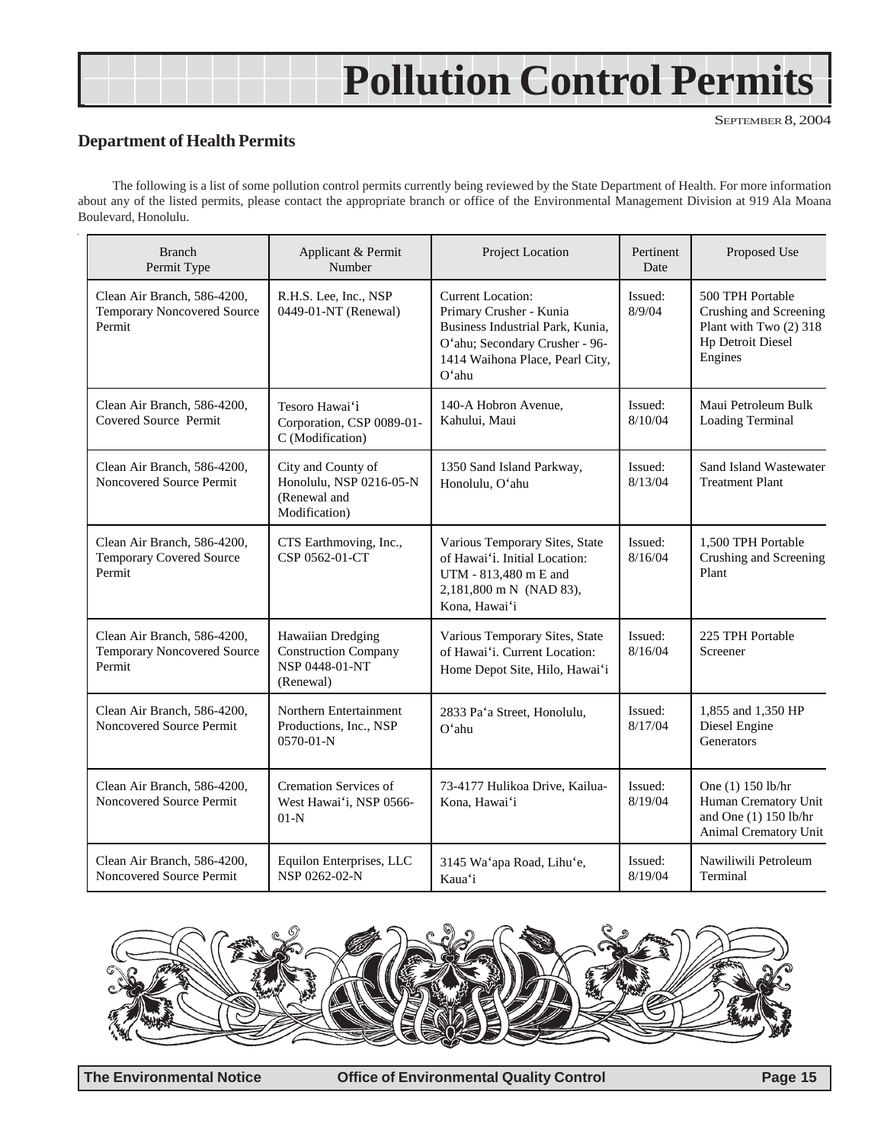# **Pollution Control Permits**

#### SEPTEMBER 8, 2004

### **Department of Health Permits**

The following is a list of some pollution control permits currently being reviewed by the State Department of Health. For more information about any of the listed permits, please contact the appropriate branch or office of the Environmental Management Division at 919 Ala Moana Boulevard, Honolulu.

| <b>Branch</b><br>Permit Type                                                | Applicant & Permit<br>Number                                                    | Project Location                                                                                                                                                      | Pertinent<br>Date  | Proposed Use                                                                                                |
|-----------------------------------------------------------------------------|---------------------------------------------------------------------------------|-----------------------------------------------------------------------------------------------------------------------------------------------------------------------|--------------------|-------------------------------------------------------------------------------------------------------------|
| Clean Air Branch, 586-4200,<br><b>Temporary Noncovered Source</b><br>Permit | R.H.S. Lee, Inc., NSP<br>0449-01-NT (Renewal)                                   | <b>Current Location:</b><br>Primary Crusher - Kunia<br>Business Industrial Park, Kunia,<br>O'ahu; Secondary Crusher - 96-<br>1414 Waihona Place, Pearl City,<br>O'ahu | Issued:<br>8/9/04  | 500 TPH Portable<br>Crushing and Screening<br>Plant with Two (2) 318<br><b>Hp Detroit Diesel</b><br>Engines |
| Clean Air Branch, 586-4200,<br>Covered Source Permit                        | Tesoro Hawai'i<br>Corporation, CSP 0089-01-<br>C (Modification)                 | 140-A Hobron Avenue,<br>Kahului, Maui                                                                                                                                 | Issued:<br>8/10/04 | Maui Petroleum Bulk<br>Loading Terminal                                                                     |
| Clean Air Branch, 586-4200,<br>Noncovered Source Permit                     | City and County of<br>Honolulu, NSP 0216-05-N<br>(Renewal and<br>Modification)  | 1350 Sand Island Parkway,<br>Honolulu, O'ahu                                                                                                                          | Issued:<br>8/13/04 | Sand Island Wastewater<br><b>Treatment Plant</b>                                                            |
| Clean Air Branch, 586-4200,<br><b>Temporary Covered Source</b><br>Permit    | CTS Earthmoving, Inc.,<br>CSP 0562-01-CT                                        | Various Temporary Sites, State<br>of Hawai'i. Initial Location:<br>UTM - 813,480 m E and<br>2,181,800 m N (NAD 83),<br>Kona, Hawai'i                                  | Issued:<br>8/16/04 | 1,500 TPH Portable<br>Crushing and Screening<br>Plant                                                       |
| Clean Air Branch, 586-4200,<br>Temporary Noncovered Source<br>Permit        | Hawaiian Dredging<br><b>Construction Company</b><br>NSP 0448-01-NT<br>(Renewal) | Various Temporary Sites, State<br>of Hawai'i. Current Location:<br>Home Depot Site, Hilo, Hawai'i                                                                     | Issued:<br>8/16/04 | 225 TPH Portable<br>Screener                                                                                |
| Clean Air Branch, 586-4200,<br>Noncovered Source Permit                     | Northern Entertainment<br>Productions, Inc., NSP<br>$0570 - 01 - N$             | 2833 Pa'a Street, Honolulu,<br>$O'$ ahu                                                                                                                               | Issued:<br>8/17/04 | 1,855 and 1,350 HP<br>Diesel Engine<br>Generators                                                           |
| Clean Air Branch, 586-4200,<br>Noncovered Source Permit                     | <b>Cremation Services of</b><br>West Hawai'i, NSP 0566-<br>$01-N$               | 73-4177 Hulikoa Drive, Kailua-<br>Kona, Hawai'i                                                                                                                       | Issued:<br>8/19/04 | One (1) 150 lb/hr<br>Human Crematory Unit<br>and One (1) 150 lb/hr<br>Animal Crematory Unit                 |
| Clean Air Branch, 586-4200,<br>Noncovered Source Permit                     | Equilon Enterprises, LLC<br>NSP 0262-02-N                                       | 3145 Wa'apa Road, Lihu'e,<br>Kaua'i                                                                                                                                   | Issued:<br>8/19/04 | Nawiliwili Petroleum<br>Terminal                                                                            |



**The Environmental Notice <b>Office of Environmental Quality Control Page 15**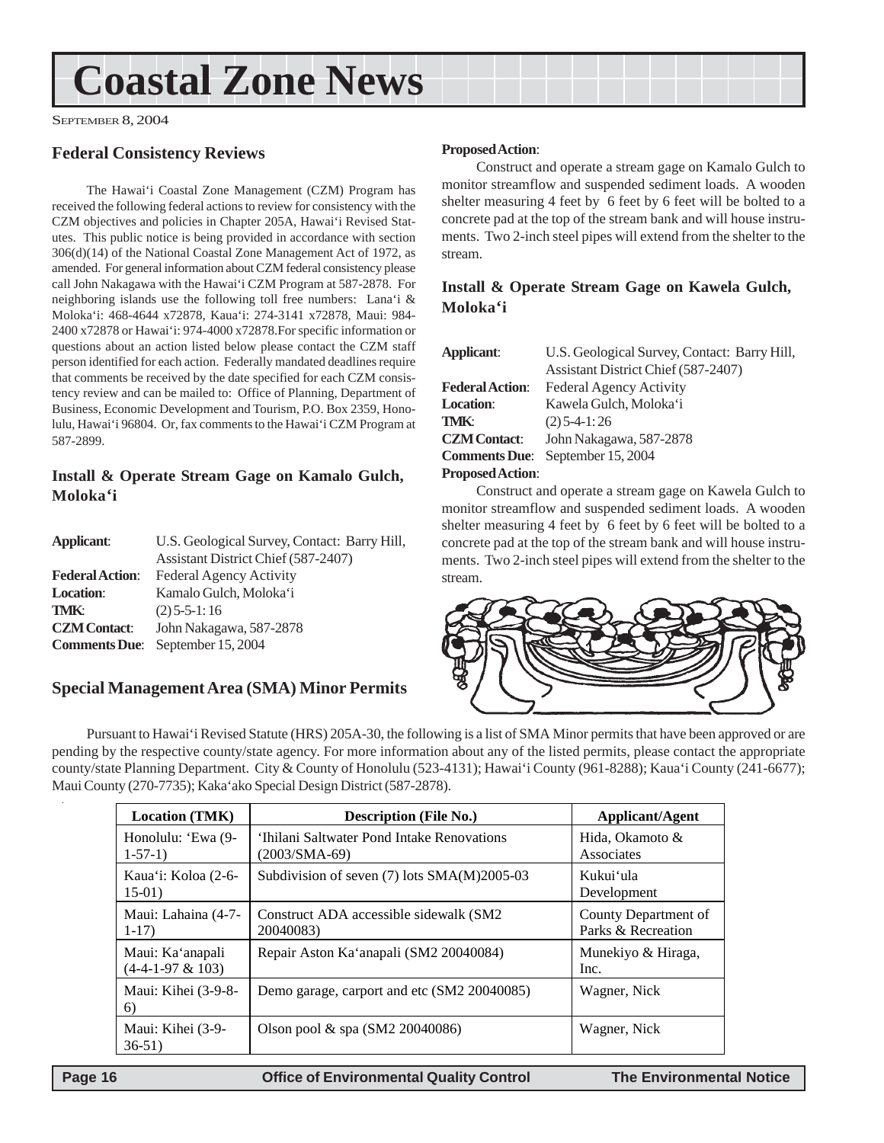# <span id="page-15-0"></span>**Coastal Zone News**

SEPTEMBER 8, 2004

### **Federal Consistency Reviews**

The Hawai'i Coastal Zone Management (CZM) Program has received the following federal actions to review for consistency with the CZM objectives and policies in Chapter 205A, Hawai'i Revised Statutes. This public notice is being provided in accordance with section 306(d)(14) of the National Coastal Zone Management Act of 1972, as amended. For general information about CZM federal consistency please call John Nakagawa with the Hawai'i CZM Program at 587-2878. For neighboring islands use the following toll free numbers: Lana'i & Moloka'i: 468-4644 x72878, Kaua'i: 274-3141 x72878, Maui: 984- 2400 x72878 or Hawai'i: 974-4000 x72878.For specific information or questions about an action listed below please contact the CZM staff person identified for each action. Federally mandated deadlines require that comments be received by the date specified for each CZM consistency review and can be mailed to: Office of Planning, Department of Business, Economic Development and Tourism, P.O. Box 2359, Honolulu, Hawai'i 96804. Or, fax comments to the Hawai'i CZM Program at 587-2899.

### **Install & Operate Stream Gage on Kamalo Gulch, Moloka'i**

| Applicant:             | U.S. Geological Survey, Contact: Barry Hill,<br>Assistant District Chief (587-2407) |
|------------------------|-------------------------------------------------------------------------------------|
| <b>Federal Action:</b> | Federal Agency Activity                                                             |
| <b>Location:</b>       | Kamalo Gulch, Moloka'i                                                              |
| <b>TMK:</b>            | $(2)$ 5-5-1:16                                                                      |
| <b>CZM</b> Contact:    | John Nakagawa, 587-2878                                                             |
|                        | <b>Comments Due:</b> September 15, 2004                                             |

### **Special Management Area (SMA) Minor Permits**

#### **Proposed Action**:

Construct and operate a stream gage on Kamalo Gulch to monitor streamflow and suspended sediment loads. A wooden shelter measuring 4 feet by 6 feet by 6 feet will be bolted to a concrete pad at the top of the stream bank and will house instruments. Two 2-inch steel pipes will extend from the shelter to the stream.

### **Install & Operate Stream Gage on Kawela Gulch, Moloka'i**

| Applicant:              | U.S. Geological Survey, Contact: Barry Hill, |
|-------------------------|----------------------------------------------|
|                         | Assistant District Chief (587-2407)          |
| <b>Federal Action:</b>  | Federal Agency Activity                      |
| <b>Location</b> :       | Kawela Gulch, Moloka'i                       |
| TMK:                    | $(2)$ 5-4-1:26                               |
| <b>CZM Contact:</b>     | John Nakagawa, 587-2878                      |
| <b>Comments Due</b> :   | September 15, 2004                           |
| <b>Proposed Action:</b> |                                              |

Construct and operate a stream gage on Kawela Gulch to monitor streamflow and suspended sediment loads. A wooden shelter measuring 4 feet by 6 feet by 6 feet will be bolted to a concrete pad at the top of the stream bank and will house instruments. Two 2-inch steel pipes will extend from the shelter to the stream.



Pursuant to Hawai'i Revised Statute (HRS) 205A-30, the following is a list of SMA Minor permits that have been approved or are pending by the respective county/state agency. For more information about any of the listed permits, please contact the appropriate county/state Planning Department. City & County of Honolulu (523-4131); Hawai'i County (961-8288); Kaua'i County (241-6677); Maui County (270-7735); Kaka'ako Special Design District (587-2878).

| <b>Location (TMK)</b>                  | <b>Description (File No.)</b>                               | Applicant/Agent                            |
|----------------------------------------|-------------------------------------------------------------|--------------------------------------------|
| Honolulu: 'Ewa (9-<br>$1-57-1)$        | 'Ihilani Saltwater Pond Intake Renovations<br>(2003/SMA-69) | Hida, Okamoto &<br>Associates              |
| Kaua'i: Koloa (2-6-<br>$15-01)$        | Subdivision of seven (7) lots SMA(M)2005-03                 | Kukui'ula<br>Development                   |
| Maui: Lahaina (4-7-<br>$1-17$          | Construct ADA accessible sidewalk (SM2)<br>20040083)        | County Department of<br>Parks & Recreation |
| Maui: Ka'anapali<br>$(4-4-1-97 & 103)$ | Repair Aston Ka'anapali (SM2 20040084)                      | Munekiyo & Hiraga,<br>Inc.                 |
| Maui: Kihei (3-9-8-<br>6)              | Demo garage, carport and etc (SM2 20040085)                 | Wagner, Nick                               |
| Maui: Kihei (3-9-<br>$36-51)$          | Olson pool $\&$ spa (SM2 20040086)                          | Wagner, Nick                               |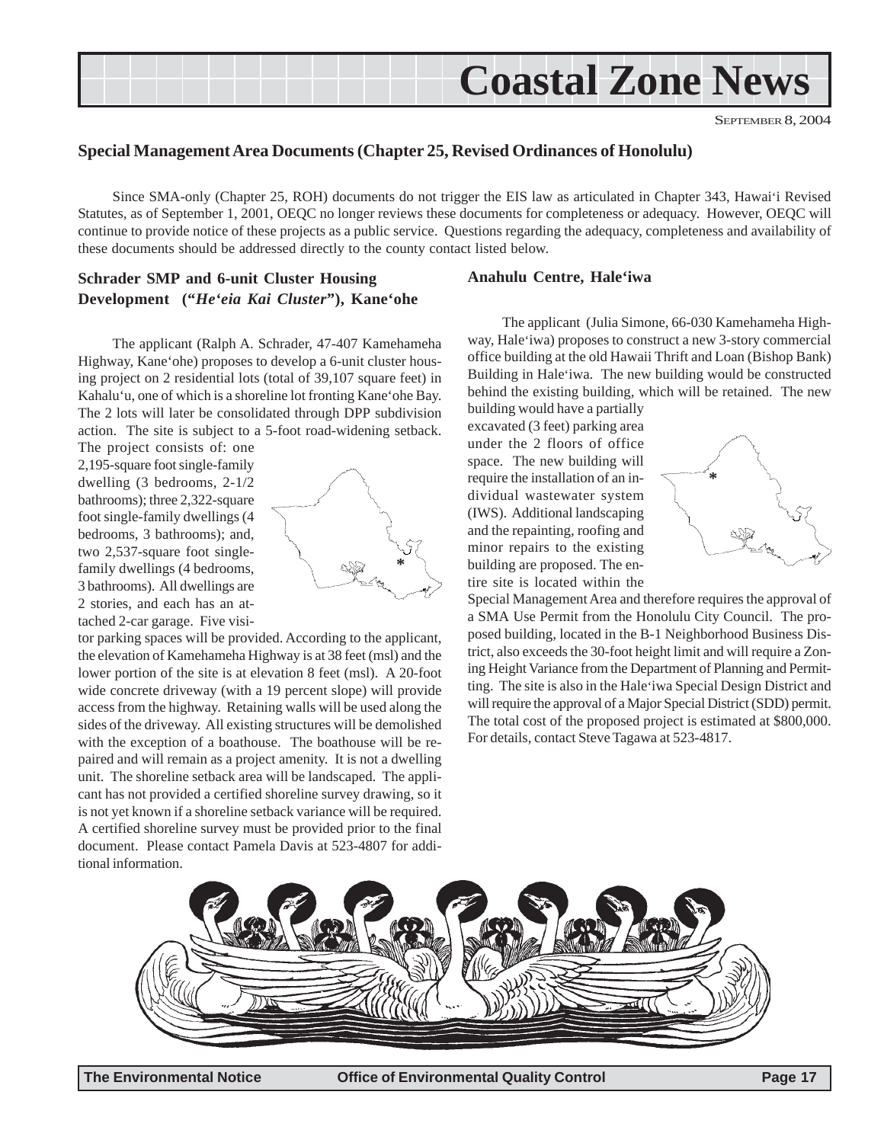<span id="page-16-0"></span>

SEPTEMBER 8, 2004

#### **Special Management Area Documents (Chapter 25, Revised Ordinances of Honolulu)**

Since SMA-only (Chapter 25, ROH) documents do not trigger the EIS law as articulated in Chapter 343, Hawai'i Revised Statutes, as of September 1, 2001, OEQC no longer reviews these documents for completeness or adequacy. However, OEQC will continue to provide notice of these projects as a public service. Questions regarding the adequacy, completeness and availability of these documents should be addressed directly to the county contact listed below.

### **Schrader SMP and 6-unit Cluster Housing Development ("***He'eia Kai Cluster***"), Kane'ohe**

The applicant (Ralph A. Schrader, 47-407 Kamehameha Highway, Kane'ohe) proposes to develop a 6-unit cluster housing project on 2 residential lots (total of 39,107 square feet) in Kahalu'u, one of which is a shoreline lot fronting Kane'ohe Bay. The 2 lots will later be consolidated through DPP subdivision action. The site is subject to a 5-foot road-widening setback.

The project consists of: one 2,195-square foot single-family dwelling (3 bedrooms, 2-1/2 bathrooms); three 2,322-square foot single-family dwellings (4 bedrooms, 3 bathrooms); and, two 2,537-square foot singlefamily dwellings (4 bedrooms, 3 bathrooms). All dwellings are 2 stories, and each has an attached 2-car garage. Five visi-



tor parking spaces will be provided. According to the applicant, the elevation of Kamehameha Highway is at 38 feet (msl) and the lower portion of the site is at elevation 8 feet (msl). A 20-foot wide concrete driveway (with a 19 percent slope) will provide access from the highway. Retaining walls will be used along the sides of the driveway. All existing structures will be demolished with the exception of a boathouse. The boathouse will be repaired and will remain as a project amenity. It is not a dwelling unit. The shoreline setback area will be landscaped. The applicant has not provided a certified shoreline survey drawing, so it is not yet known if a shoreline setback variance will be required. A certified shoreline survey must be provided prior to the final document. Please contact Pamela Davis at 523-4807 for additional information.

#### **Anahulu Centre, Hale'iwa**

The applicant (Julia Simone, 66-030 Kamehameha Highway, Hale'iwa) proposes to construct a new 3-story commercial office building at the old Hawaii Thrift and Loan (Bishop Bank) Building in Hale'iwa. The new building would be constructed behind the existing building, which will be retained. The new

building would have a partially excavated (3 feet) parking area under the 2 floors of office space. The new building will require the installation of an individual wastewater system (IWS). Additional landscaping and the repainting, roofing and minor repairs to the existing building are proposed. The entire site is located within the



Special Management Area and therefore requires the approval of a SMA Use Permit from the Honolulu City Council. The proposed building, located in the B-1 Neighborhood Business District, also exceeds the 30-foot height limit and will require a Zoning Height Variance from the Department of Planning and Permitting. The site is also in the Hale'iwa Special Design District and will require the approval of a Major Special District (SDD) permit. The total cost of the proposed project is estimated at \$800,000. For details, contact Steve Tagawa at 523-4817.

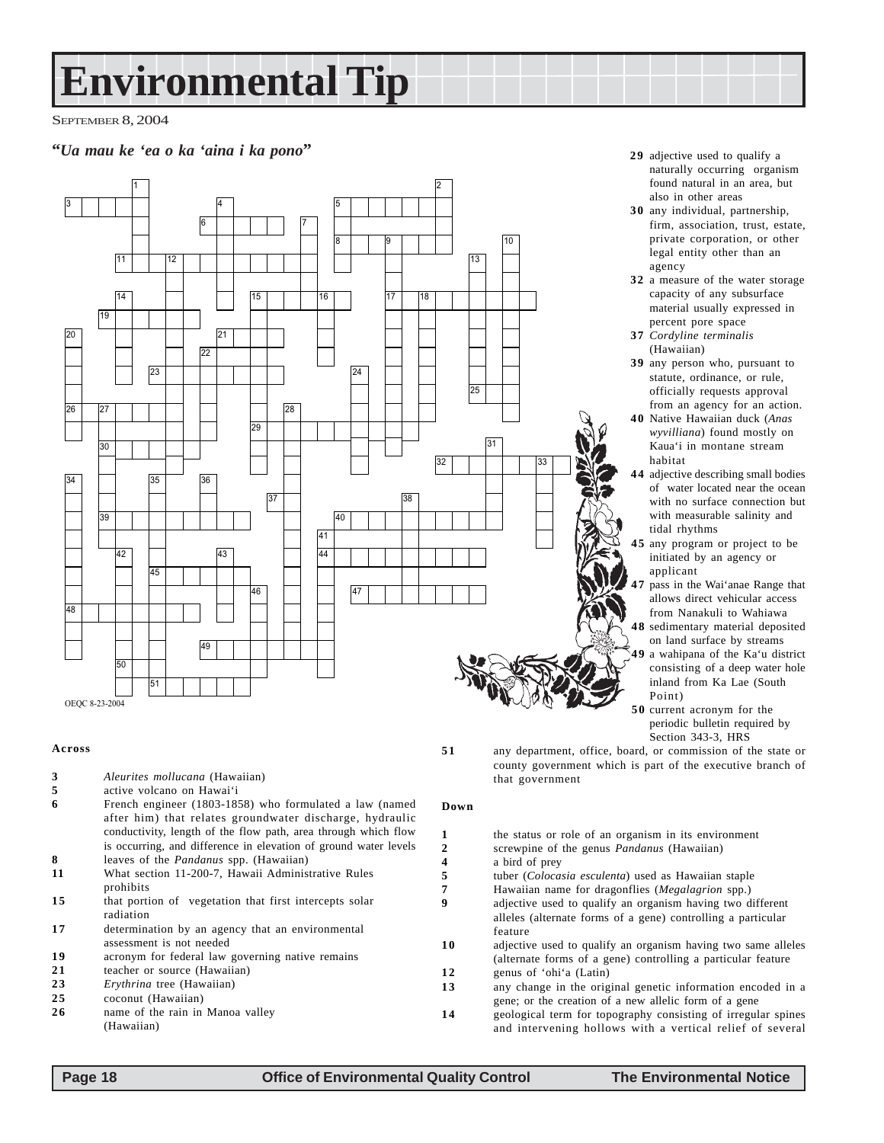# **Environmental Tip**

SEPTEMBER 8, 2004

### **"***Ua mau ke 'ea o ka 'aina i ka pono*" **29** adjective used to qualify a



#### **Across**

- **3** *Aleurites mollucana* (Hawaiian)
- **5** active volcano on Hawai'i
- **6** French engineer (1803-1858) who formulated a law (named after him) that relates groundwater discharge, hydraulic conductivity, length of the flow path, area through which flow is occurring, and difference in elevation of ground water levels
- **8** leaves of the *Pandanus* spp. (Hawaiian)
- **11** What section 11-200-7, Hawaii Administrative Rules prohibits
- 15 that portion of vegetation that first intercepts solar radiation
- **17** determination by an agency that an environmental assessment is not needed
- 19 acronym for federal law governing native remains
- 21 teacher or source (Hawaiian)<br>23 Ervthrina tree (Hawaiian)
- 23 *Erythrina* tree (Hawaiian)<br>25 *COCONG* (Hawaiian)
- **2 5** coconut (Hawaiian)
- **2 6** name of the rain in Manoa valley (Hawaiian)
- naturally occurring organism found natural in an area, but also in other areas
- **3 0** any individual, partnership, firm, association, trust, estate, private corporation, or other legal entity other than an agency
- **3 2** a measure of the water storage capacity of any subsurface material usually expressed in percent pore space
- **3 7** *Cordyline terminalis* (Hawaiian)
- **3 9** any person who, pursuant to statute, ordinance, or rule, officially requests approval from an agency for an action.
- **4 0** Native Hawaiian duck (*Anas wyvilliana*) found mostly on Kaua'i in montane stream habitat
- **4 4** adjective describing small bodies of water located near the ocean with no surface connection but with measurable salinity and tidal rhythms
- **4 5** any program or project to be initiated by an agency or applicant
- **4 7** pass in the Wai'anae Range that allows direct vehicular access from Nanakuli to Wahiawa
- **4 8** sedimentary material deposited on land surface by streams **4 9** a wahipana of the Ka'u district
- consisting of a deep water hole inland from Ka Lae (South Point)
- **5 0** current acronym for the periodic bulletin required by Section 343-3, HRS

**5 1** any department, office, board, or commission of the state or county government which is part of the executive branch of that government

#### **Down**

| 1  | the status or role of an organism in its environment          |
|----|---------------------------------------------------------------|
| 2  | screwpine of the genus <i>Pandanus</i> (Hawaiian)             |
| 4  | a bird of prev                                                |
| 5  | tuber ( <i>Colocasia esculenta</i> ) used as Hawaiian staple  |
| 7  | Hawaiian name for dragonflies ( <i>Megalagrion</i> spp.)      |
| Q  | adjective used to qualify an organism having two different    |
|    | alleles (alternate forms of a gene) controlling a particular  |
|    | feature                                                       |
| 10 | adjective used to qualify an organism having two same alleles |
|    | (alternate forms of a gene) controlling a particular feature  |
| 12 | genus of 'ohi'a (Latin)                                       |
| 13 | any change in the original genetic information encoded in a   |
|    | gene; or the creation of a new allelic form of a gene         |
| 14 | geological term for topography consisting of irregular spines |
|    | and intervening hollows with a vertical relief of several     |